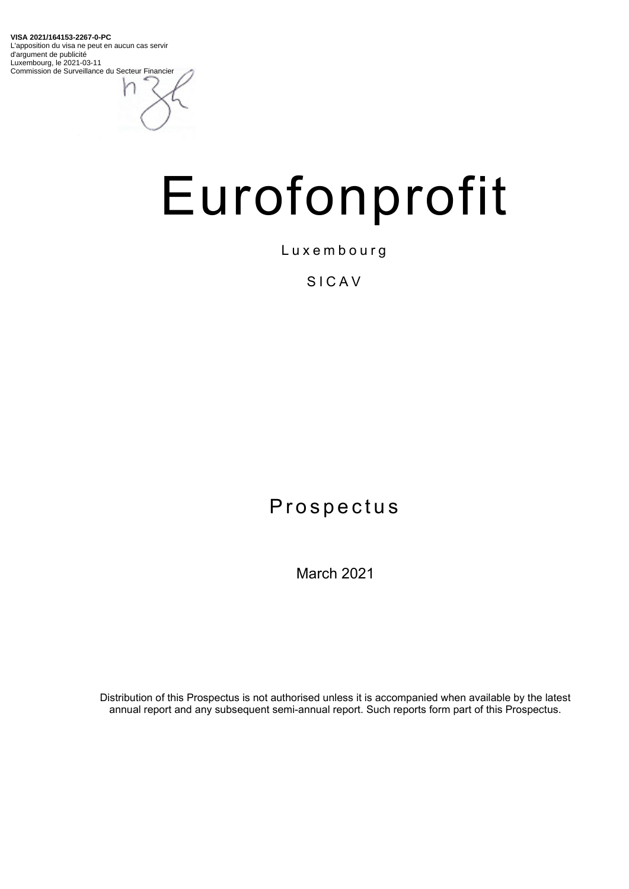**VISA 2021/164153-2267-0-PC** L'apposition du visa ne peut en aucun cas servir d'argument de publicité Luxembourg, le 2021-03-11 Commission de Surveillance du Secteur Financier

# Eurofonprofit

Luxembourg

## SICAV

## Prospectus

March 2021

Distribution of this Prospectus is not authorised unless it is accompanied when available by the latest annual report and any subsequent semi-annual report. Such reports form part of this Prospectus.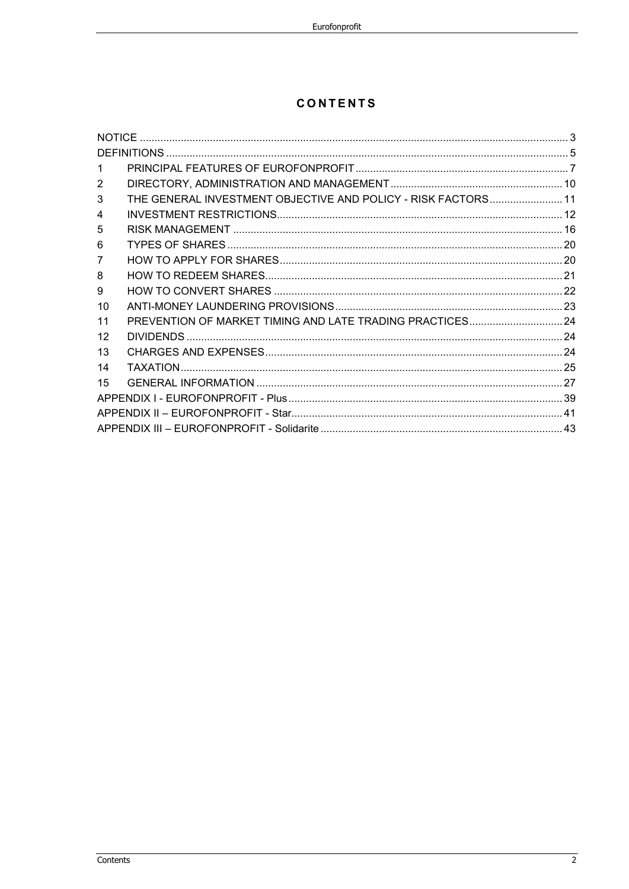## **CONTENTS**

| 2  |                                                               |  |  |
|----|---------------------------------------------------------------|--|--|
| 3  | THE GENERAL INVESTMENT OBJECTIVE AND POLICY - RISK FACTORS 11 |  |  |
| 4  |                                                               |  |  |
| 5  |                                                               |  |  |
| 6  |                                                               |  |  |
| 7  |                                                               |  |  |
| 8  |                                                               |  |  |
| 9  |                                                               |  |  |
| 10 |                                                               |  |  |
| 11 | PREVENTION OF MARKET TIMING AND LATE TRADING PRACTICES 24     |  |  |
| 12 |                                                               |  |  |
| 13 |                                                               |  |  |
| 14 |                                                               |  |  |
| 15 |                                                               |  |  |
|    |                                                               |  |  |
|    |                                                               |  |  |
|    |                                                               |  |  |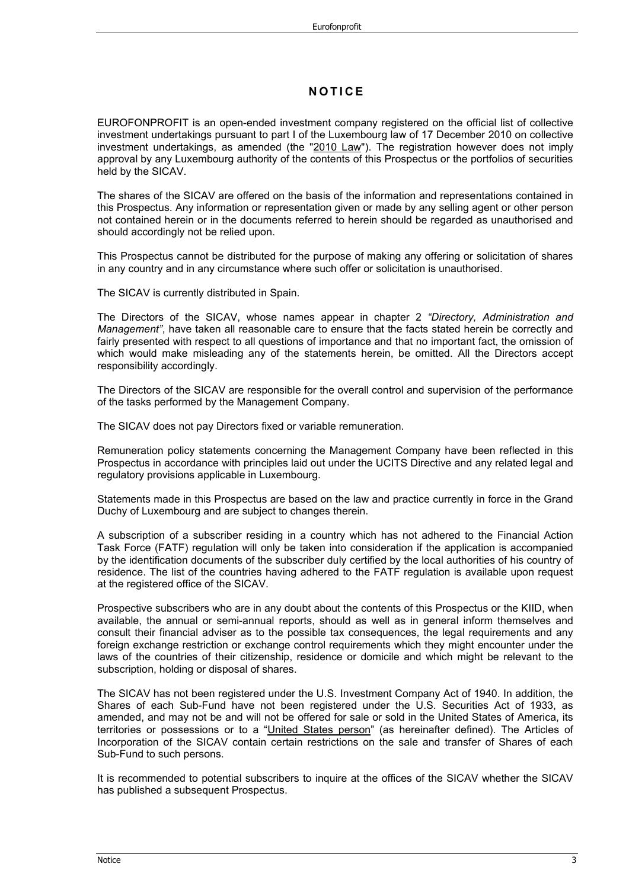## **NOTICE**

EUROFONPROFIT is an open-ended investment company registered on the official list of collective investment undertakings pursuant to part I of the Luxembourg law of 17 December 2010 on collective investment undertakings, as amended (the "2010 Law"). The registration however does not imply approval by any Luxembourg authority of the contents of this Prospectus or the portfolios of securities held by the SICAV.

The shares of the SICAV are offered on the basis of the information and representations contained in this Prospectus. Any information or representation given or made by any selling agent or other person not contained herein or in the documents referred to herein should be regarded as unauthorised and should accordingly not be relied upon.

This Prospectus cannot be distributed for the purpose of making any offering or solicitation of shares in any country and in any circumstance where such offer or solicitation is unauthorised.

The SICAV is currently distributed in Spain.

The Directors of the SICAV, whose names appear in chapter 2 *"Directory, Administration and Management"*, have taken all reasonable care to ensure that the facts stated herein be correctly and fairly presented with respect to all questions of importance and that no important fact, the omission of which would make misleading any of the statements herein, be omitted. All the Directors accept responsibility accordingly.

The Directors of the SICAV are responsible for the overall control and supervision of the performance of the tasks performed by the Management Company.

The SICAV does not pay Directors fixed or variable remuneration.

Remuneration policy statements concerning the Management Company have been reflected in this Prospectus in accordance with principles laid out under the UCITS Directive and any related legal and regulatory provisions applicable in Luxembourg.

Statements made in this Prospectus are based on the law and practice currently in force in the Grand Duchy of Luxembourg and are subject to changes therein.

A subscription of a subscriber residing in a country which has not adhered to the Financial Action Task Force (FATF) regulation will only be taken into consideration if the application is accompanied by the identification documents of the subscriber duly certified by the local authorities of his country of residence. The list of the countries having adhered to the FATF regulation is available upon request at the registered office of the SICAV.

Prospective subscribers who are in any doubt about the contents of this Prospectus or the KIID, when available, the annual or semi-annual reports, should as well as in general inform themselves and consult their financial adviser as to the possible tax consequences, the legal requirements and any foreign exchange restriction or exchange control requirements which they might encounter under the laws of the countries of their citizenship, residence or domicile and which might be relevant to the subscription, holding or disposal of shares.

The SICAV has not been registered under the U.S. Investment Company Act of 1940. In addition, the Shares of each Sub-Fund have not been registered under the U.S. Securities Act of 1933, as amended, and may not be and will not be offered for sale or sold in the United States of America, its territories or possessions or to a "United States person" (as hereinafter defined). The Articles of Incorporation of the SICAV contain certain restrictions on the sale and transfer of Shares of each Sub-Fund to such persons.

It is recommended to potential subscribers to inquire at the offices of the SICAV whether the SICAV has published a subsequent Prospectus.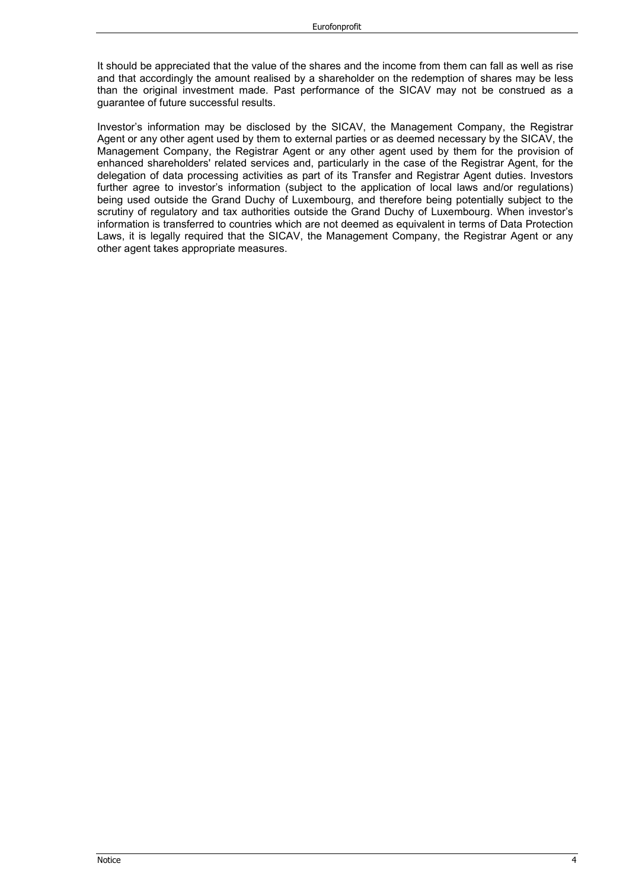It should be appreciated that the value of the shares and the income from them can fall as well as rise and that accordingly the amount realised by a shareholder on the redemption of shares may be less than the original investment made. Past performance of the SICAV may not be construed as a guarantee of future successful results.

Investor's information may be disclosed by the SICAV, the Management Company, the Registrar Agent or any other agent used by them to external parties or as deemed necessary by the SICAV, the Management Company, the Registrar Agent or any other agent used by them for the provision of enhanced shareholders' related services and, particularly in the case of the Registrar Agent, for the delegation of data processing activities as part of its Transfer and Registrar Agent duties. Investors further agree to investor's information (subject to the application of local laws and/or regulations) being used outside the Grand Duchy of Luxembourg, and therefore being potentially subject to the scrutiny of regulatory and tax authorities outside the Grand Duchy of Luxembourg. When investor's information is transferred to countries which are not deemed as equivalent in terms of Data Protection Laws, it is legally required that the SICAV, the Management Company, the Registrar Agent or any other agent takes appropriate measures.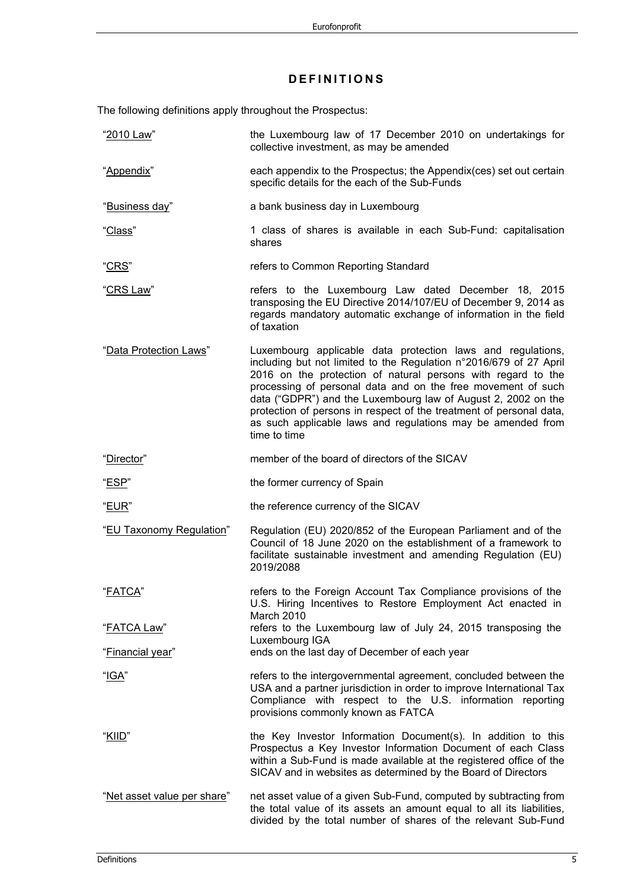## **DEFINITIONS**

The following definitions apply throughout the Prospectus:

| "2010 Law"                  | the Luxembourg law of 17 December 2010 on undertakings for<br>collective investment, as may be amended                                                                                                                                                                                                                                                                                                                                                                                   |
|-----------------------------|------------------------------------------------------------------------------------------------------------------------------------------------------------------------------------------------------------------------------------------------------------------------------------------------------------------------------------------------------------------------------------------------------------------------------------------------------------------------------------------|
| "Appendix"                  | each appendix to the Prospectus; the Appendix(ces) set out certain<br>specific details for the each of the Sub-Funds                                                                                                                                                                                                                                                                                                                                                                     |
| "Business day"              | a bank business day in Luxembourg                                                                                                                                                                                                                                                                                                                                                                                                                                                        |
| <u>"Class</u> "             | 1 class of shares is available in each Sub-Fund: capitalisation<br>shares                                                                                                                                                                                                                                                                                                                                                                                                                |
| <u>"CRS"</u>                | refers to Common Reporting Standard                                                                                                                                                                                                                                                                                                                                                                                                                                                      |
| <u>"CRS Law</u> "           | refers to the Luxembourg Law dated December 18, 2015<br>transposing the EU Directive 2014/107/EU of December 9, 2014 as<br>regards mandatory automatic exchange of information in the field<br>of taxation                                                                                                                                                                                                                                                                               |
| "Data Protection Laws"      | Luxembourg applicable data protection laws and regulations,<br>including but not limited to the Regulation n°2016/679 of 27 April<br>2016 on the protection of natural persons with regard to the<br>processing of personal data and on the free movement of such<br>data ("GDPR") and the Luxembourg law of August 2, 2002 on the<br>protection of persons in respect of the treatment of personal data,<br>as such applicable laws and regulations may be amended from<br>time to time |
| "Director"                  | member of the board of directors of the SICAV                                                                                                                                                                                                                                                                                                                                                                                                                                            |
| " <u>ESP</u> "              | the former currency of Spain                                                                                                                                                                                                                                                                                                                                                                                                                                                             |
| "EUR"                       | the reference currency of the SICAV                                                                                                                                                                                                                                                                                                                                                                                                                                                      |
| "EU Taxonomy Regulation"    | Regulation (EU) 2020/852 of the European Parliament and of the<br>Council of 18 June 2020 on the establishment of a framework to<br>facilitate sustainable investment and amending Regulation (EU)<br>2019/2088                                                                                                                                                                                                                                                                          |
| "FATCA"                     | refers to the Foreign Account Tax Compliance provisions of the<br>U.S. Hiring Incentives to Restore Employment Act enacted in<br>March 2010                                                                                                                                                                                                                                                                                                                                              |
| <u> "FATCA Law"</u>         | refers to the Luxembourg law of July 24, 2015 transposing the                                                                                                                                                                                                                                                                                                                                                                                                                            |
| <u> "Financial year</u> "   | Luxembourg IGA<br>ends on the last day of December of each year                                                                                                                                                                                                                                                                                                                                                                                                                          |
| " <u>IGA</u> "              | refers to the intergovernmental agreement, concluded between the<br>USA and a partner jurisdiction in order to improve International Tax<br>Compliance with respect to the U.S. information reporting<br>provisions commonly known as FATCA                                                                                                                                                                                                                                              |
| "KIID"                      | the Key Investor Information Document(s). In addition to this<br>Prospectus a Key Investor Information Document of each Class<br>within a Sub-Fund is made available at the registered office of the<br>SICAV and in websites as determined by the Board of Directors                                                                                                                                                                                                                    |
| "Net asset value per share" | net asset value of a given Sub-Fund, computed by subtracting from<br>the total value of its assets an amount equal to all its liabilities,<br>divided by the total number of shares of the relevant Sub-Fund                                                                                                                                                                                                                                                                             |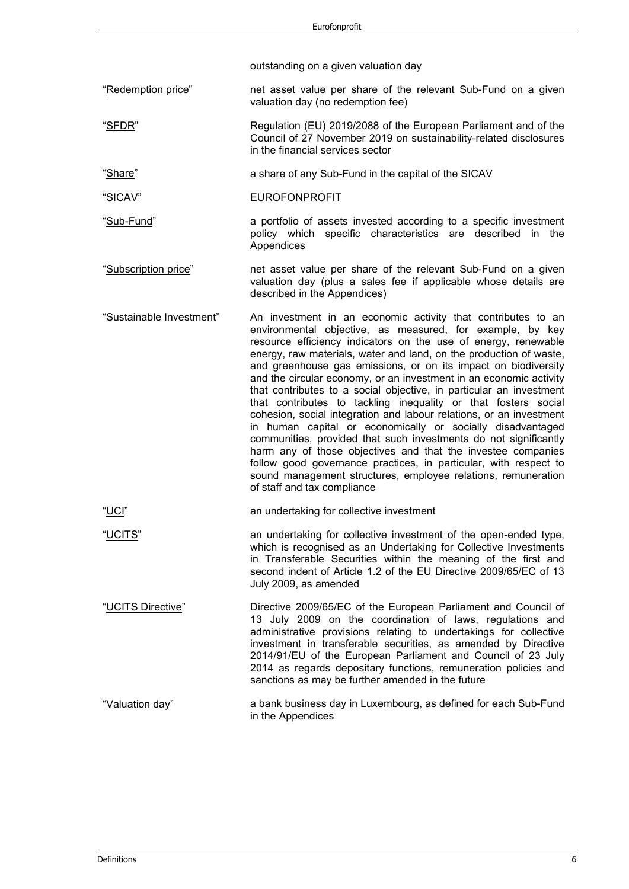outstanding on a given valuation day

- "Redemption price" net asset value per share of the relevant Sub-Fund on a given valuation day (no redemption fee)
- "SFDR" Regulation (EU) 2019/2088 of the European Parliament and of the Council of 27 November 2019 on sustainability‐related disclosures in the financial services sector
- "Share" a share of any Sub-Fund in the capital of the SICAV
- "SICAV" EUROFONPROFIT
- "Sub-Fund" a portfolio of assets invested according to a specific investment policy which specific characteristics are described in the Appendices
- "Subscription price" net asset value per share of the relevant Sub-Fund on a given valuation day (plus a sales fee if applicable whose details are described in the Appendices)
- "Sustainable Investment" An investment in an economic activity that contributes to an environmental objective, as measured, for example, by key resource efficiency indicators on the use of energy, renewable energy, raw materials, water and land, on the production of waste, and greenhouse gas emissions, or on its impact on biodiversity and the circular economy, or an investment in an economic activity that contributes to a social objective, in particular an investment that contributes to tackling inequality or that fosters social cohesion, social integration and labour relations, or an investment in human capital or economically or socially disadvantaged communities, provided that such investments do not significantly harm any of those objectives and that the investee companies follow good governance practices, in particular, with respect to sound management structures, employee relations, remuneration of staff and tax compliance

"UCI" an undertaking for collective investment

- "UCITS" an undertaking for collective investment of the open-ended type, which is recognised as an Undertaking for Collective Investments in Transferable Securities within the meaning of the first and second indent of Article 1.2 of the EU Directive 2009/65/EC of 13 July 2009, as amended
- "UCITS Directive" Directive 2009/65/EC of the European Parliament and Council of 13 July 2009 on the coordination of laws, regulations and administrative provisions relating to undertakings for collective investment in transferable securities, as amended by Directive 2014/91/EU of the European Parliament and Council of 23 July 2014 as regards depositary functions, remuneration policies and sanctions as may be further amended in the future
- "Valuation day" a bank business day in Luxembourg, as defined for each Sub-Fund in the Appendices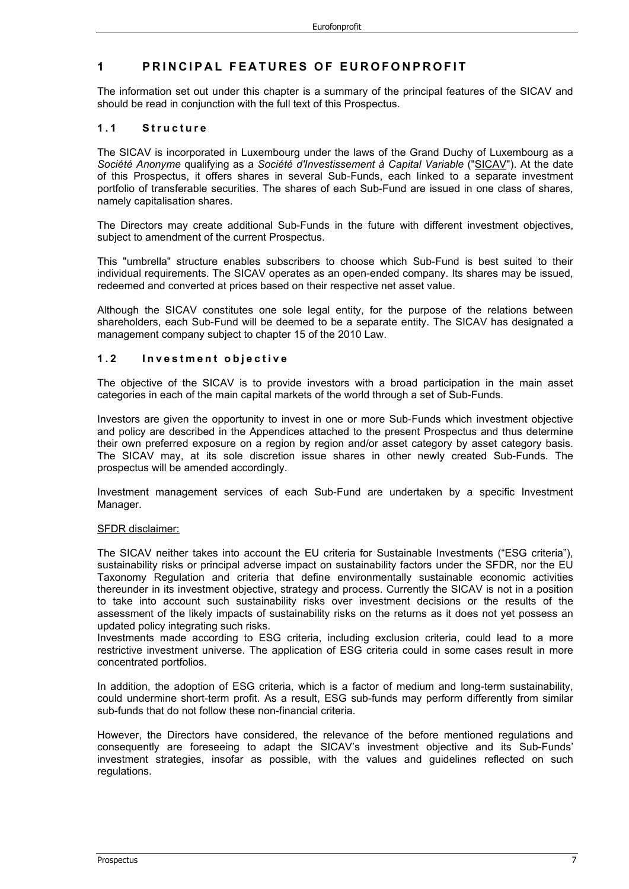## **1 PRINCIPAL FEATURES OF EUROFONPROFIT**

The information set out under this chapter is a summary of the principal features of the SICAV and should be read in conjunction with the full text of this Prospectus.

#### **1.1 Structure**

The SICAV is incorporated in Luxembourg under the laws of the Grand Duchy of Luxembourg as a *Société Anonyme* qualifying as a *Société d'Investissement à Capital Variable* ("SICAV"). At the date of this Prospectus, it offers shares in several Sub-Funds, each linked to a separate investment portfolio of transferable securities. The shares of each Sub-Fund are issued in one class of shares, namely capitalisation shares.

The Directors may create additional Sub-Funds in the future with different investment objectives, subject to amendment of the current Prospectus.

This "umbrella" structure enables subscribers to choose which Sub-Fund is best suited to their individual requirements. The SICAV operates as an open-ended company. Its shares may be issued, redeemed and converted at prices based on their respective net asset value.

Although the SICAV constitutes one sole legal entity, for the purpose of the relations between shareholders, each Sub-Fund will be deemed to be a separate entity. The SICAV has designated a management company subject to chapter 15 of the 2010 Law.

#### **1.2 Investmen t objective**

The objective of the SICAV is to provide investors with a broad participation in the main asset categories in each of the main capital markets of the world through a set of Sub-Funds.

Investors are given the opportunity to invest in one or more Sub-Funds which investment objective and policy are described in the Appendices attached to the present Prospectus and thus determine their own preferred exposure on a region by region and/or asset category by asset category basis. The SICAV may, at its sole discretion issue shares in other newly created Sub-Funds. The prospectus will be amended accordingly.

Investment management services of each Sub-Fund are undertaken by a specific Investment Manager.

#### SFDR disclaimer:

The SICAV neither takes into account the EU criteria for Sustainable Investments ("ESG criteria"), sustainability risks or principal adverse impact on sustainability factors under the SFDR, nor the EU Taxonomy Regulation and criteria that define environmentally sustainable economic activities thereunder in its investment objective, strategy and process. Currently the SICAV is not in a position to take into account such sustainability risks over investment decisions or the results of the assessment of the likely impacts of sustainability risks on the returns as it does not yet possess an updated policy integrating such risks.

Investments made according to ESG criteria, including exclusion criteria, could lead to a more restrictive investment universe. The application of ESG criteria could in some cases result in more concentrated portfolios.

In addition, the adoption of ESG criteria, which is a factor of medium and long-term sustainability, could undermine short-term profit. As a result, ESG sub-funds may perform differently from similar sub-funds that do not follow these non-financial criteria.

However, the Directors have considered, the relevance of the before mentioned regulations and consequently are foreseeing to adapt the SICAV's investment objective and its Sub-Funds' investment strategies, insofar as possible, with the values and guidelines reflected on such regulations.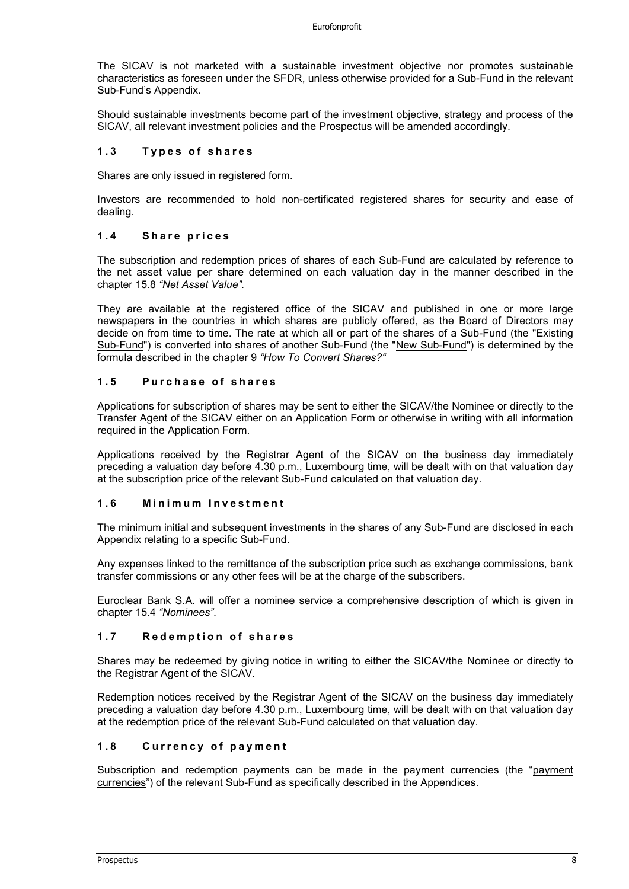The SICAV is not marketed with a sustainable investment objective nor promotes sustainable characteristics as foreseen under the SFDR, unless otherwise provided for a Sub-Fund in the relevant Sub-Fund's Appendix.

Should sustainable investments become part of the investment objective, strategy and process of the SICAV, all relevant investment policies and the Prospectus will be amended accordingly.

#### **1.3 Types of sha res**

Shares are only issued in registered form.

Investors are recommended to hold non-certificated registered shares for security and ease of dealing.

#### **1.4 Share pr ices**

The subscription and redemption prices of shares of each Sub-Fund are calculated by reference to the net asset value per share determined on each valuation day in the manner described in the chapter 15.8 *"Net Asset Value".*

They are available at the registered office of the SICAV and published in one or more large newspapers in the countries in which shares are publicly offered, as the Board of Directors may decide on from time to time. The rate at which all or part of the shares of a Sub-Fund (the "Existing Sub-Fund") is converted into shares of another Sub-Fund (the "New Sub-Fund") is determined by the formula described in the chapter 9 *"How To Convert Shares?"*

#### **1.5 Purchase of shares**

Applications for subscription of shares may be sent to either the SICAV/the Nominee or directly to the Transfer Agent of the SICAV either on an Application Form or otherwise in writing with all information required in the Application Form.

Applications received by the Registrar Agent of the SICAV on the business day immediately preceding a valuation day before 4.30 p.m., Luxembourg time, will be dealt with on that valuation day at the subscription price of the relevant Sub-Fund calculated on that valuation day.

#### **1.6 Minimum Investment**

The minimum initial and subsequent investments in the shares of any Sub-Fund are disclosed in each Appendix relating to a specific Sub-Fund.

Any expenses linked to the remittance of the subscription price such as exchange commissions, bank transfer commissions or any other fees will be at the charge of the subscribers.

Euroclear Bank S.A. will offer a nominee service a comprehensive description of which is given in chapter 15.4 *"Nominees"*.

#### **1.7 Redemption of shares**

Shares may be redeemed by giving notice in writing to either the SICAV/the Nominee or directly to the Registrar Agent of the SICAV.

Redemption notices received by the Registrar Agent of the SICAV on the business day immediately preceding a valuation day before 4.30 p.m., Luxembourg time, will be dealt with on that valuation day at the redemption price of the relevant Sub-Fund calculated on that valuation day.

## **1.8 Currency of payment**

Subscription and redemption payments can be made in the payment currencies (the "payment currencies") of the relevant Sub-Fund as specifically described in the Appendices.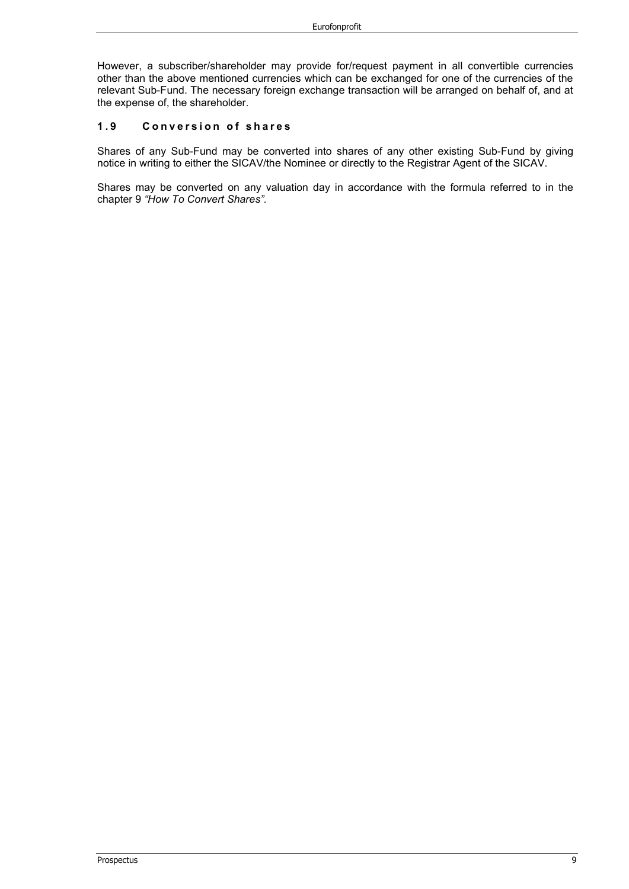However, a subscriber/shareholder may provide for/request payment in all convertible currencies other than the above mentioned currencies which can be exchanged for one of the currencies of the relevant Sub-Fund. The necessary foreign exchange transaction will be arranged on behalf of, and at the expense of, the shareholder.

#### 1.9 Conversion of shares

Shares of any Sub-Fund may be converted into shares of any other existing Sub-Fund by giving notice in writing to either the SICAV/the Nominee or directly to the Registrar Agent of the SICAV.

Shares may be converted on any valuation day in accordance with the formula referred to in the chapter 9 *"How To Convert Shares".*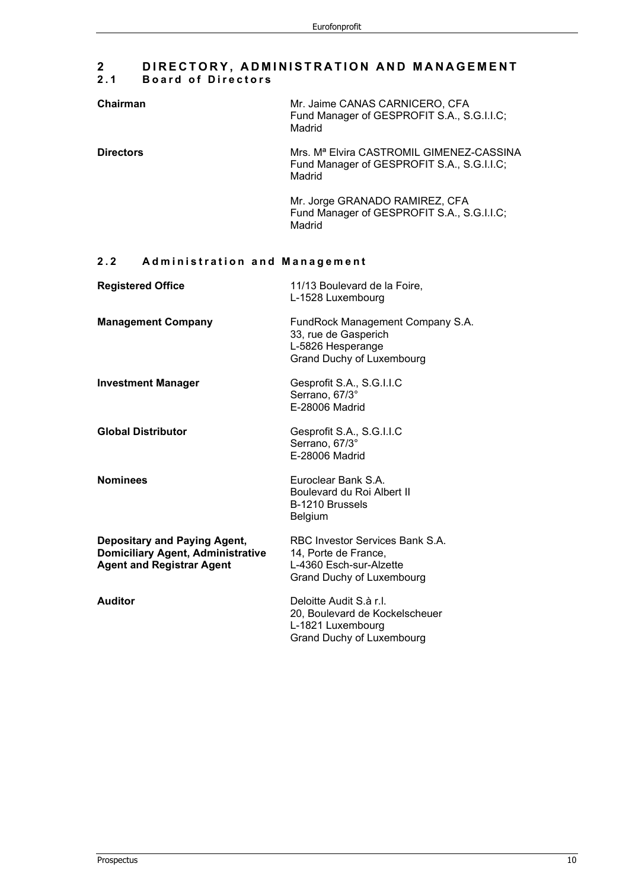## **2 DIRECTORY, ADMINIS TRATION AND MANAGEMENT 2.1 Board of Directors**

| Chairman         | Mr. Jaime CANAS CARNICERO, CFA<br>Fund Manager of GESPROFIT S.A., S.G.I.I.C;<br>Madrid                       |
|------------------|--------------------------------------------------------------------------------------------------------------|
| <b>Directors</b> | Mrs. M <sup>a</sup> Elvira CASTROMIL GIMENEZ-CASSINA<br>Fund Manager of GESPROFIT S.A., S.G.I.I.C;<br>Madrid |
|                  | Mr. Jorge GRANADO RAMIREZ, CFA<br>Fund Manager of GESPROFIT S.A., S.G.I.I.C;<br>Madrid                       |

## **2.2 Administration and Management**

| <b>Registered Office</b>                                                                                     | 11/13 Boulevard de la Foire,<br>L-1528 Luxembourg                                                               |
|--------------------------------------------------------------------------------------------------------------|-----------------------------------------------------------------------------------------------------------------|
| <b>Management Company</b>                                                                                    | FundRock Management Company S.A.<br>33, rue de Gasperich<br>L-5826 Hesperange<br>Grand Duchy of Luxembourg      |
| <b>Investment Manager</b>                                                                                    | Gesprofit S.A., S.G.I.I.C<br>Serrano, 67/3°<br>E-28006 Madrid                                                   |
| <b>Global Distributor</b>                                                                                    | Gesprofit S.A., S.G.I.I.C<br>Serrano, 67/3°<br>E-28006 Madrid                                                   |
| <b>Nominees</b>                                                                                              | Euroclear Bank S.A.<br>Boulevard du Roi Albert II<br>B-1210 Brussels<br>Belgium                                 |
| Depositary and Paying Agent,<br><b>Domiciliary Agent, Administrative</b><br><b>Agent and Registrar Agent</b> | RBC Investor Services Bank S.A.<br>14, Porte de France,<br>L-4360 Esch-sur-Alzette<br>Grand Duchy of Luxembourg |
| <b>Auditor</b>                                                                                               | Deloitte Audit S.à r.l.<br>20, Boulevard de Kockelscheuer<br>L-1821 Luxembourg<br>Grand Duchy of Luxembourg     |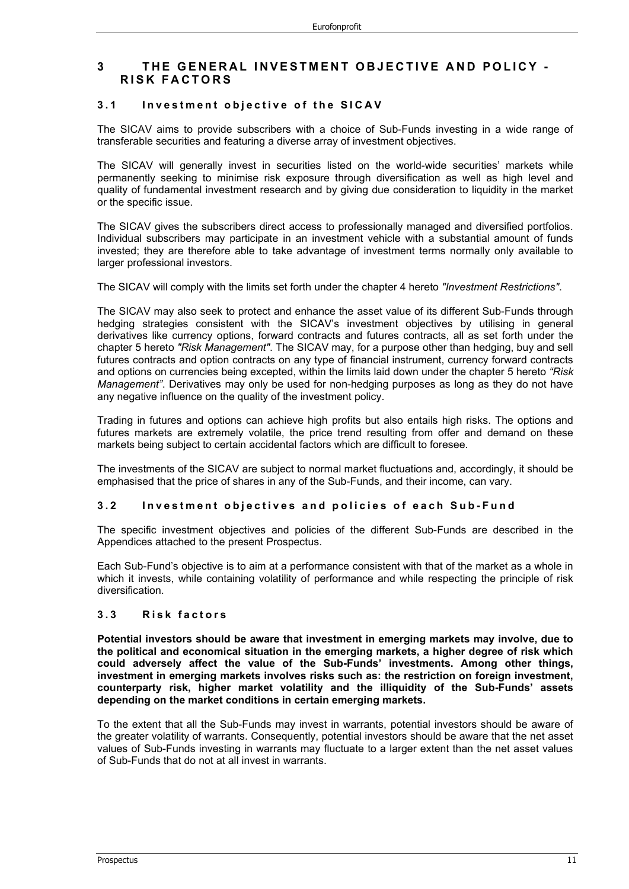## **3 THE GENERAL INVESTMENT OBJECTIVE AND POLICY - RISK FACTORS**

#### **3.1 Investment objective of the SICAV**

The SICAV aims to provide subscribers with a choice of Sub-Funds investing in a wide range of transferable securities and featuring a diverse array of investment objectives.

The SICAV will generally invest in securities listed on the world-wide securities' markets while permanently seeking to minimise risk exposure through diversification as well as high level and quality of fundamental investment research and by giving due consideration to liquidity in the market or the specific issue.

The SICAV gives the subscribers direct access to professionally managed and diversified portfolios. Individual subscribers may participate in an investment vehicle with a substantial amount of funds invested; they are therefore able to take advantage of investment terms normally only available to larger professional investors.

The SICAV will comply with the limits set forth under the chapter 4 hereto *"Investment Restrictions"*.

The SICAV may also seek to protect and enhance the asset value of its different Sub-Funds through hedging strategies consistent with the SICAV's investment objectives by utilising in general derivatives like currency options, forward contracts and futures contracts, all as set forth under the chapter 5 hereto *"Risk Management"*. The SICAV may, for a purpose other than hedging, buy and sell futures contracts and option contracts on any type of financial instrument, currency forward contracts and options on currencies being excepted, within the limits laid down under the chapter 5 hereto *"Risk Management"*. Derivatives may only be used for non-hedging purposes as long as they do not have any negative influence on the quality of the investment policy.

Trading in futures and options can achieve high profits but also entails high risks. The options and futures markets are extremely volatile, the price trend resulting from offer and demand on these markets being subject to certain accidental factors which are difficult to foresee.

The investments of the SICAV are subject to normal market fluctuations and, accordingly, it should be emphasised that the price of shares in any of the Sub-Funds, and their income, can vary.

#### **3.2 Investment objectives and policies of each Sub - Fund**

The specific investment objectives and policies of the different Sub-Funds are described in the Appendices attached to the present Prospectus.

Each Sub-Fund's objective is to aim at a performance consistent with that of the market as a whole in which it invests, while containing volatility of performance and while respecting the principle of risk diversification.

#### **3.3 Risk factors**

**Potential investors should be aware that investment in emerging markets may involve, due to the political and economical situation in the emerging markets, a higher degree of risk which could adversely affect the value of the Sub-Funds' investments. Among other things, investment in emerging markets involves risks such as: the restriction on foreign investment, counterparty risk, higher market volatility and the illiquidity of the Sub-Funds' assets depending on the market conditions in certain emerging markets.**

To the extent that all the Sub-Funds may invest in warrants, potential investors should be aware of the greater volatility of warrants. Consequently, potential investors should be aware that the net asset values of Sub-Funds investing in warrants may fluctuate to a larger extent than the net asset values of Sub-Funds that do not at all invest in warrants.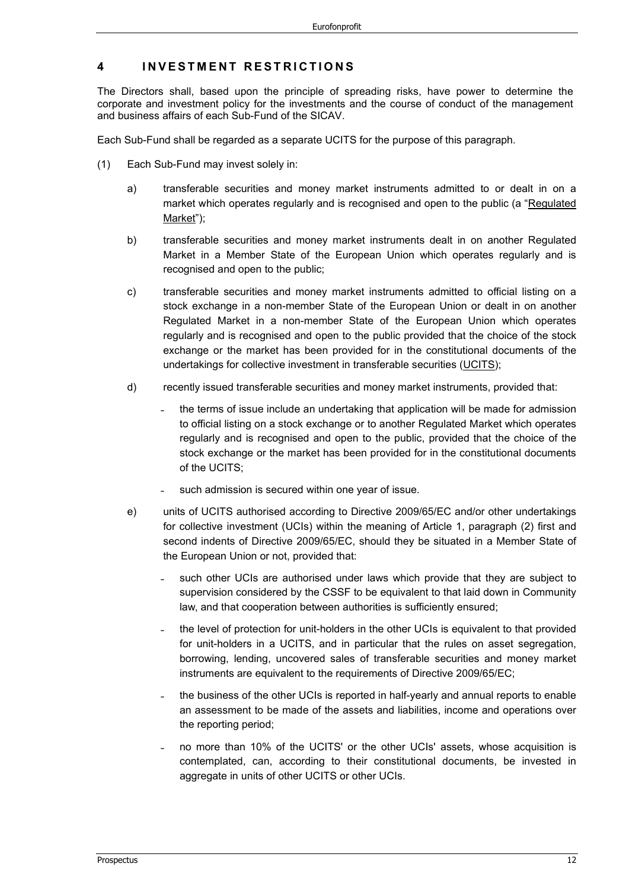## **4 INVESTMENT RESTRICTIONS**

The Directors shall, based upon the principle of spreading risks, have power to determine the corporate and investment policy for the investments and the course of conduct of the management and business affairs of each Sub-Fund of the SICAV.

Each Sub-Fund shall be regarded as a separate UCITS for the purpose of this paragraph.

- (1) Each Sub-Fund may invest solely in:
	- a) transferable securities and money market instruments admitted to or dealt in on a market which operates regularly and is recognised and open to the public (a "Regulated Market");
	- b) transferable securities and money market instruments dealt in on another Regulated Market in a Member State of the European Union which operates regularly and is recognised and open to the public;
	- c) transferable securities and money market instruments admitted to official listing on a stock exchange in a non-member State of the European Union or dealt in on another Regulated Market in a non-member State of the European Union which operates regularly and is recognised and open to the public provided that the choice of the stock exchange or the market has been provided for in the constitutional documents of the undertakings for collective investment in transferable securities (UCITS);
	- d) recently issued transferable securities and money market instruments, provided that:
		- ˗ the terms of issue include an undertaking that application will be made for admission to official listing on a stock exchange or to another Regulated Market which operates regularly and is recognised and open to the public, provided that the choice of the stock exchange or the market has been provided for in the constitutional documents of the UCITS;
		- such admission is secured within one year of issue.
	- e) units of UCITS authorised according to Directive 2009/65/EC and/or other undertakings for collective investment (UCIs) within the meaning of Article 1, paragraph (2) first and second indents of Directive 2009/65/EC, should they be situated in a Member State of the European Union or not, provided that:
		- such other UCIs are authorised under laws which provide that they are subject to supervision considered by the CSSF to be equivalent to that laid down in Community law, and that cooperation between authorities is sufficiently ensured;
		- ˗ the level of protection for unit-holders in the other UCIs is equivalent to that provided for unit-holders in a UCITS, and in particular that the rules on asset segregation, borrowing, lending, uncovered sales of transferable securities and money market instruments are equivalent to the requirements of Directive 2009/65/EC;
		- ˗ the business of the other UCIs is reported in half-yearly and annual reports to enable an assessment to be made of the assets and liabilities, income and operations over the reporting period;
		- ˗ no more than 10% of the UCITS' or the other UCIs' assets, whose acquisition is contemplated, can, according to their constitutional documents, be invested in aggregate in units of other UCITS or other UCIs.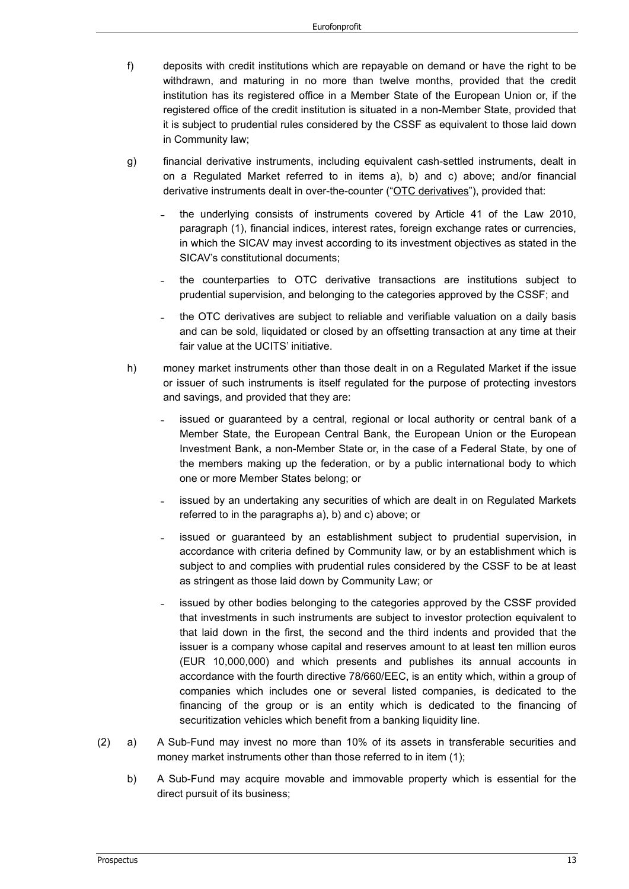- f) deposits with credit institutions which are repayable on demand or have the right to be withdrawn, and maturing in no more than twelve months, provided that the credit institution has its registered office in a Member State of the European Union or, if the registered office of the credit institution is situated in a non-Member State, provided that it is subject to prudential rules considered by the CSSF as equivalent to those laid down in Community law;
- g) financial derivative instruments, including equivalent cash-settled instruments, dealt in on a Regulated Market referred to in items a), b) and c) above; and/or financial derivative instruments dealt in over-the-counter ("OTC derivatives"), provided that:
	- ˗ the underlying consists of instruments covered by Article 41 of the Law 2010, paragraph (1), financial indices, interest rates, foreign exchange rates or currencies, in which the SICAV may invest according to its investment objectives as stated in the SICAV's constitutional documents;
	- ˗ the counterparties to OTC derivative transactions are institutions subject to prudential supervision, and belonging to the categories approved by the CSSF; and
	- ˗ the OTC derivatives are subject to reliable and verifiable valuation on a daily basis and can be sold, liquidated or closed by an offsetting transaction at any time at their fair value at the UCITS' initiative.
- h) money market instruments other than those dealt in on a Regulated Market if the issue or issuer of such instruments is itself regulated for the purpose of protecting investors and savings, and provided that they are:
	- ˗ issued or guaranteed by a central, regional or local authority or central bank of a Member State, the European Central Bank, the European Union or the European Investment Bank, a non-Member State or, in the case of a Federal State, by one of the members making up the federation, or by a public international body to which one or more Member States belong; or
	- ˗ issued by an undertaking any securities of which are dealt in on Regulated Markets referred to in the paragraphs a), b) and c) above; or
	- issued or guaranteed by an establishment subject to prudential supervision, in accordance with criteria defined by Community law, or by an establishment which is subject to and complies with prudential rules considered by the CSSF to be at least as stringent as those laid down by Community Law; or
	- ˗ issued by other bodies belonging to the categories approved by the CSSF provided that investments in such instruments are subject to investor protection equivalent to that laid down in the first, the second and the third indents and provided that the issuer is a company whose capital and reserves amount to at least ten million euros (EUR 10,000,000) and which presents and publishes its annual accounts in accordance with the fourth directive 78/660/EEC, is an entity which, within a group of companies which includes one or several listed companies, is dedicated to the financing of the group or is an entity which is dedicated to the financing of securitization vehicles which benefit from a banking liquidity line.
- (2) a) A Sub-Fund may invest no more than 10% of its assets in transferable securities and money market instruments other than those referred to in item (1);
	- b) A Sub-Fund may acquire movable and immovable property which is essential for the direct pursuit of its business;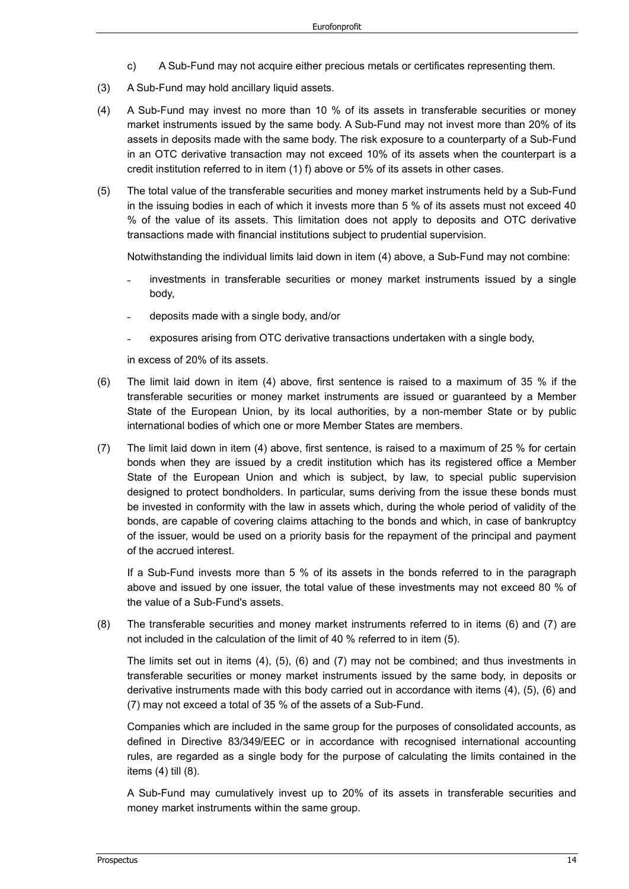- c) A Sub-Fund may not acquire either precious metals or certificates representing them.
- (3) A Sub-Fund may hold ancillary liquid assets.
- (4) A Sub-Fund may invest no more than 10 % of its assets in transferable securities or money market instruments issued by the same body. A Sub-Fund may not invest more than 20% of its assets in deposits made with the same body. The risk exposure to a counterparty of a Sub-Fund in an OTC derivative transaction may not exceed 10% of its assets when the counterpart is a credit institution referred to in item (1) f) above or 5% of its assets in other cases.
- (5) The total value of the transferable securities and money market instruments held by a Sub-Fund in the issuing bodies in each of which it invests more than 5 % of its assets must not exceed 40 % of the value of its assets. This limitation does not apply to deposits and OTC derivative transactions made with financial institutions subject to prudential supervision.

Notwithstanding the individual limits laid down in item (4) above, a Sub-Fund may not combine:

- investments in transferable securities or money market instruments issued by a single body,
- ˗ deposits made with a single body, and/or
- exposures arising from OTC derivative transactions undertaken with a single body,

in excess of 20% of its assets.

- (6) The limit laid down in item (4) above, first sentence is raised to a maximum of 35 % if the transferable securities or money market instruments are issued or guaranteed by a Member State of the European Union, by its local authorities, by a non-member State or by public international bodies of which one or more Member States are members.
- (7) The limit laid down in item (4) above, first sentence, is raised to a maximum of 25 % for certain bonds when they are issued by a credit institution which has its registered office a Member State of the European Union and which is subject, by law, to special public supervision designed to protect bondholders. In particular, sums deriving from the issue these bonds must be invested in conformity with the law in assets which, during the whole period of validity of the bonds, are capable of covering claims attaching to the bonds and which, in case of bankruptcy of the issuer, would be used on a priority basis for the repayment of the principal and payment of the accrued interest.

If a Sub-Fund invests more than 5 % of its assets in the bonds referred to in the paragraph above and issued by one issuer, the total value of these investments may not exceed 80 % of the value of a Sub-Fund's assets.

(8) The transferable securities and money market instruments referred to in items (6) and (7) are not included in the calculation of the limit of 40 % referred to in item (5).

The limits set out in items (4), (5), (6) and (7) may not be combined; and thus investments in transferable securities or money market instruments issued by the same body, in deposits or derivative instruments made with this body carried out in accordance with items (4), (5), (6) and (7) may not exceed a total of 35 % of the assets of a Sub-Fund.

Companies which are included in the same group for the purposes of consolidated accounts, as defined in Directive 83/349/EEC or in accordance with recognised international accounting rules, are regarded as a single body for the purpose of calculating the limits contained in the items (4) till (8).

A Sub-Fund may cumulatively invest up to 20% of its assets in transferable securities and money market instruments within the same group.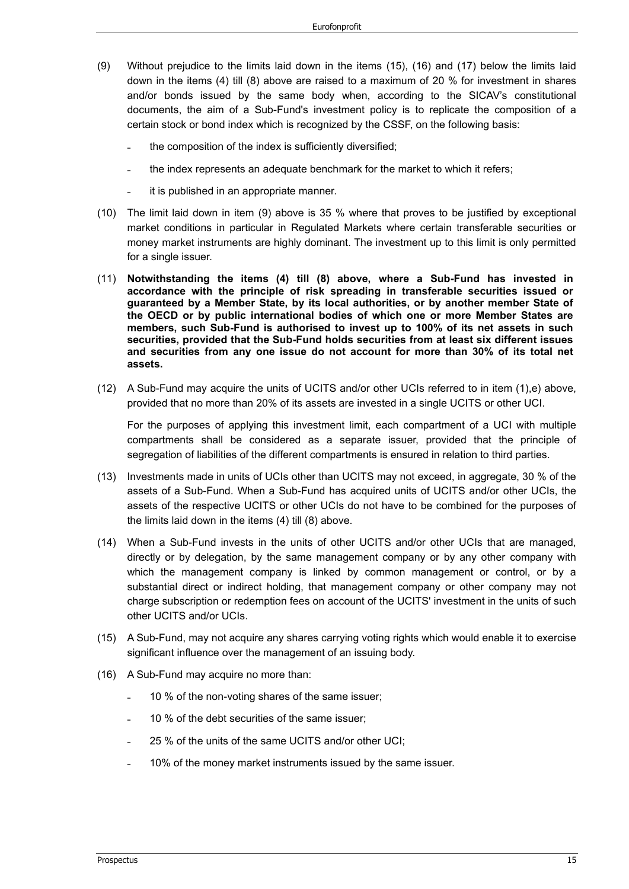- (9) Without prejudice to the limits laid down in the items (15), (16) and (17) below the limits laid down in the items (4) till (8) above are raised to a maximum of 20 % for investment in shares and/or bonds issued by the same body when, according to the SICAV's constitutional documents, the aim of a Sub-Fund's investment policy is to replicate the composition of a certain stock or bond index which is recognized by the CSSF, on the following basis:
	- ˗ the composition of the index is sufficiently diversified;
	- ˗ the index represents an adequate benchmark for the market to which it refers;
	- ˗ it is published in an appropriate manner.
- (10) The limit laid down in item (9) above is 35 % where that proves to be justified by exceptional market conditions in particular in Regulated Markets where certain transferable securities or money market instruments are highly dominant. The investment up to this limit is only permitted for a single issuer.
- (11) **Notwithstanding the items (4) till (8) above, where a Sub-Fund has invested in accordance with the principle of risk spreading in transferable securities issued or guaranteed by a Member State, by its local authorities, or by another member State of the OECD or by public international bodies of which one or more Member States are members, such Sub-Fund is authorised to invest up to 100% of its net assets in such securities, provided that the Sub-Fund holds securities from at least six different issues and securities from any one issue do not account for more than 30% of its total net assets.**
- (12) A Sub-Fund may acquire the units of UCITS and/or other UCIs referred to in item (1),e) above, provided that no more than 20% of its assets are invested in a single UCITS or other UCI.

For the purposes of applying this investment limit, each compartment of a UCI with multiple compartments shall be considered as a separate issuer, provided that the principle of segregation of liabilities of the different compartments is ensured in relation to third parties.

- (13) Investments made in units of UCIs other than UCITS may not exceed, in aggregate, 30 % of the assets of a Sub-Fund. When a Sub-Fund has acquired units of UCITS and/or other UCIs, the assets of the respective UCITS or other UCIs do not have to be combined for the purposes of the limits laid down in the items (4) till (8) above.
- (14) When a Sub-Fund invests in the units of other UCITS and/or other UCIs that are managed, directly or by delegation, by the same management company or by any other company with which the management company is linked by common management or control, or by a substantial direct or indirect holding, that management company or other company may not charge subscription or redemption fees on account of the UCITS' investment in the units of such other UCITS and/or UCIs.
- (15) A Sub-Fund, may not acquire any shares carrying voting rights which would enable it to exercise significant influence over the management of an issuing body.
- (16) A Sub-Fund may acquire no more than:
	- ˗ 10 % of the non-voting shares of the same issuer;
	- ˗ 10 % of the debt securities of the same issuer;
	- ˗ 25 % of the units of the same UCITS and/or other UCI;
	- ˗ 10% of the money market instruments issued by the same issuer.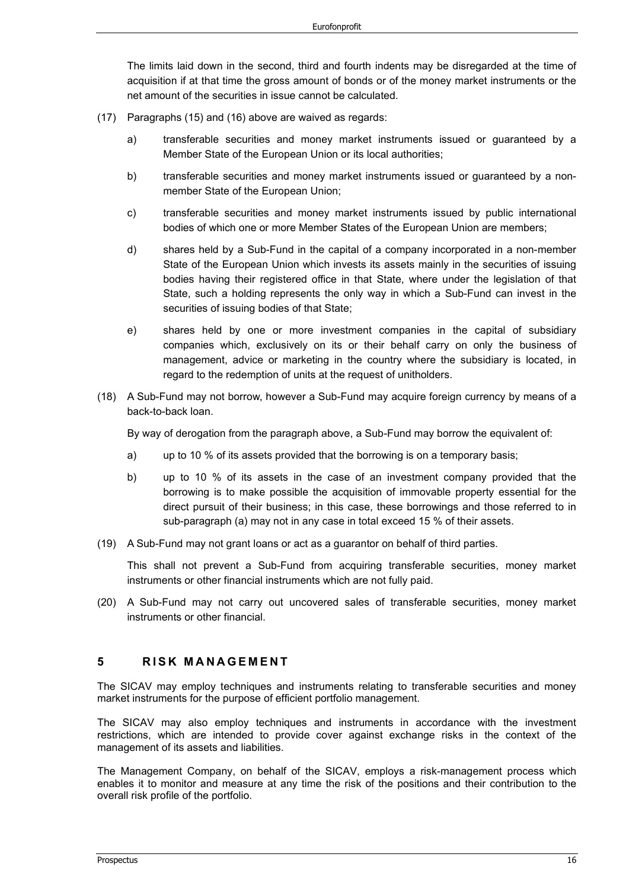The limits laid down in the second, third and fourth indents may be disregarded at the time of acquisition if at that time the gross amount of bonds or of the money market instruments or the net amount of the securities in issue cannot be calculated.

- (17) Paragraphs (15) and (16) above are waived as regards:
	- a) transferable securities and money market instruments issued or guaranteed by a Member State of the European Union or its local authorities;
	- b) transferable securities and money market instruments issued or guaranteed by a nonmember State of the European Union;
	- c) transferable securities and money market instruments issued by public international bodies of which one or more Member States of the European Union are members;
	- d) shares held by a Sub-Fund in the capital of a company incorporated in a non-member State of the European Union which invests its assets mainly in the securities of issuing bodies having their registered office in that State, where under the legislation of that State, such a holding represents the only way in which a Sub-Fund can invest in the securities of issuing bodies of that State;
	- e) shares held by one or more investment companies in the capital of subsidiary companies which, exclusively on its or their behalf carry on only the business of management, advice or marketing in the country where the subsidiary is located, in regard to the redemption of units at the request of unitholders.
- (18) A Sub-Fund may not borrow, however a Sub-Fund may acquire foreign currency by means of a back-to-back loan.

By way of derogation from the paragraph above, a Sub-Fund may borrow the equivalent of:

- a) up to 10 % of its assets provided that the borrowing is on a temporary basis;
- b) up to 10 % of its assets in the case of an investment company provided that the borrowing is to make possible the acquisition of immovable property essential for the direct pursuit of their business; in this case, these borrowings and those referred to in sub-paragraph (a) may not in any case in total exceed 15 % of their assets.
- (19) A Sub-Fund may not grant loans or act as a guarantor on behalf of third parties.

This shall not prevent a Sub-Fund from acquiring transferable securities, money market instruments or other financial instruments which are not fully paid.

(20) A Sub-Fund may not carry out uncovered sales of transferable securities, money market instruments or other financial.

## **5 RISK MANAGEMENT**

The SICAV may employ techniques and instruments relating to transferable securities and money market instruments for the purpose of efficient portfolio management.

The SICAV may also employ techniques and instruments in accordance with the investment restrictions, which are intended to provide cover against exchange risks in the context of the management of its assets and liabilities.

The Management Company, on behalf of the SICAV, employs a risk-management process which enables it to monitor and measure at any time the risk of the positions and their contribution to the overall risk profile of the portfolio.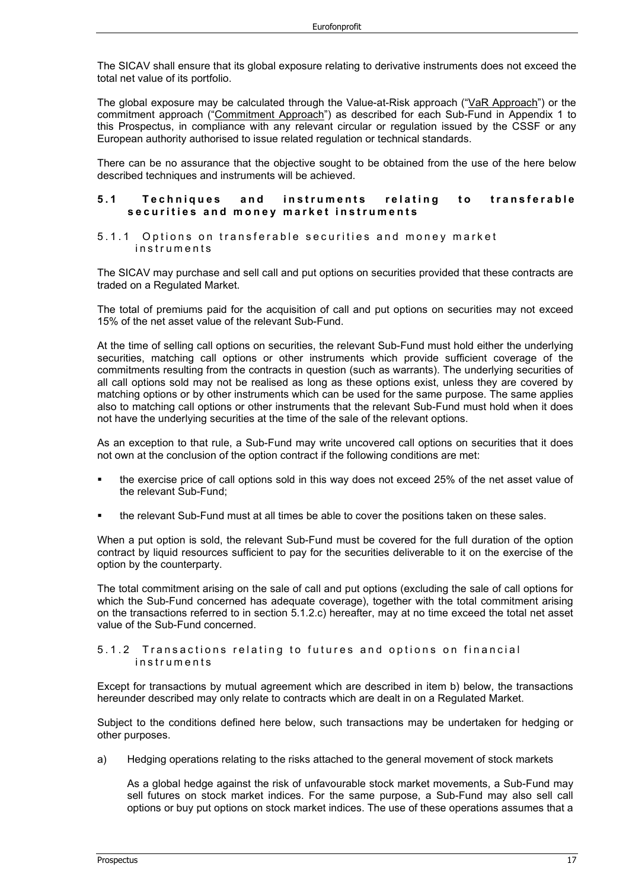The SICAV shall ensure that its global exposure relating to derivative instruments does not exceed the total net value of its portfolio.

The global exposure may be calculated through the Value-at-Risk approach ("VaR Approach") or the commitment approach ("Commitment Approach") as described for each Sub-Fund in Appendix 1 to this Prospectus, in compliance with any relevant circular or regulation issued by the CSSF or any European authority authorised to issue related regulation or technical standards.

There can be no assurance that the objective sought to be obtained from the use of the here below described techniques and instruments will be achieved.

#### **5.1 Techniques and instruments relating to transferable**  securities and money market instruments

#### 5.1.1 Options on transferable securities and money market instrume nts

The SICAV may purchase and sell call and put options on securities provided that these contracts are traded on a Regulated Market.

The total of premiums paid for the acquisition of call and put options on securities may not exceed 15% of the net asset value of the relevant Sub-Fund.

At the time of selling call options on securities, the relevant Sub-Fund must hold either the underlying securities, matching call options or other instruments which provide sufficient coverage of the commitments resulting from the contracts in question (such as warrants). The underlying securities of all call options sold may not be realised as long as these options exist, unless they are covered by matching options or by other instruments which can be used for the same purpose. The same applies also to matching call options or other instruments that the relevant Sub-Fund must hold when it does not have the underlying securities at the time of the sale of the relevant options.

As an exception to that rule, a Sub-Fund may write uncovered call options on securities that it does not own at the conclusion of the option contract if the following conditions are met:

- the exercise price of call options sold in this way does not exceed 25% of the net asset value of the relevant Sub-Fund;
- the relevant Sub-Fund must at all times be able to cover the positions taken on these sales.

When a put option is sold, the relevant Sub-Fund must be covered for the full duration of the option contract by liquid resources sufficient to pay for the securities deliverable to it on the exercise of the option by the counterparty.

The total commitment arising on the sale of call and put options (excluding the sale of call options for which the Sub-Fund concerned has adequate coverage), together with the total commitment arising on the transactions referred to in section 5.1.2.c) hereafter, may at no time exceed the total net asset value of the Sub-Fund concerned.

```
5.1.2 Transactions relating to futures and options on financial 
instruments
```
Except for transactions by mutual agreement which are described in item b) below, the transactions hereunder described may only relate to contracts which are dealt in on a Regulated Market.

Subject to the conditions defined here below, such transactions may be undertaken for hedging or other purposes.

a) Hedging operations relating to the risks attached to the general movement of stock markets

As a global hedge against the risk of unfavourable stock market movements, a Sub-Fund may sell futures on stock market indices. For the same purpose, a Sub-Fund may also sell call options or buy put options on stock market indices. The use of these operations assumes that a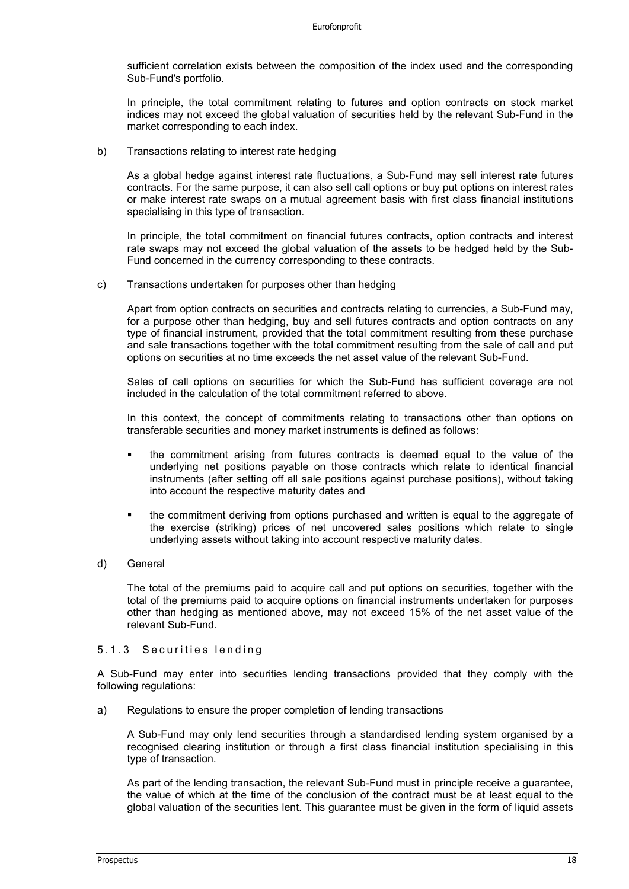sufficient correlation exists between the composition of the index used and the corresponding Sub-Fund's portfolio.

In principle, the total commitment relating to futures and option contracts on stock market indices may not exceed the global valuation of securities held by the relevant Sub-Fund in the market corresponding to each index.

b) Transactions relating to interest rate hedging

As a global hedge against interest rate fluctuations, a Sub-Fund may sell interest rate futures contracts. For the same purpose, it can also sell call options or buy put options on interest rates or make interest rate swaps on a mutual agreement basis with first class financial institutions specialising in this type of transaction.

In principle, the total commitment on financial futures contracts, option contracts and interest rate swaps may not exceed the global valuation of the assets to be hedged held by the Sub-Fund concerned in the currency corresponding to these contracts.

c) Transactions undertaken for purposes other than hedging

Apart from option contracts on securities and contracts relating to currencies, a Sub-Fund may, for a purpose other than hedging, buy and sell futures contracts and option contracts on any type of financial instrument, provided that the total commitment resulting from these purchase and sale transactions together with the total commitment resulting from the sale of call and put options on securities at no time exceeds the net asset value of the relevant Sub-Fund.

Sales of call options on securities for which the Sub-Fund has sufficient coverage are not included in the calculation of the total commitment referred to above.

In this context, the concept of commitments relating to transactions other than options on transferable securities and money market instruments is defined as follows:

- the commitment arising from futures contracts is deemed equal to the value of the underlying net positions payable on those contracts which relate to identical financial instruments (after setting off all sale positions against purchase positions), without taking into account the respective maturity dates and
- the commitment deriving from options purchased and written is equal to the aggregate of the exercise (striking) prices of net uncovered sales positions which relate to single underlying assets without taking into account respective maturity dates.
- d) General

The total of the premiums paid to acquire call and put options on securities, together with the total of the premiums paid to acquire options on financial instruments undertaken for purposes other than hedging as mentioned above, may not exceed 15% of the net asset value of the relevant Sub-Fund.

#### 5.1.3 Securities lending

A Sub-Fund may enter into securities lending transactions provided that they comply with the following regulations:

a) Regulations to ensure the proper completion of lending transactions

A Sub-Fund may only lend securities through a standardised lending system organised by a recognised clearing institution or through a first class financial institution specialising in this type of transaction.

As part of the lending transaction, the relevant Sub-Fund must in principle receive a guarantee, the value of which at the time of the conclusion of the contract must be at least equal to the global valuation of the securities lent. This guarantee must be given in the form of liquid assets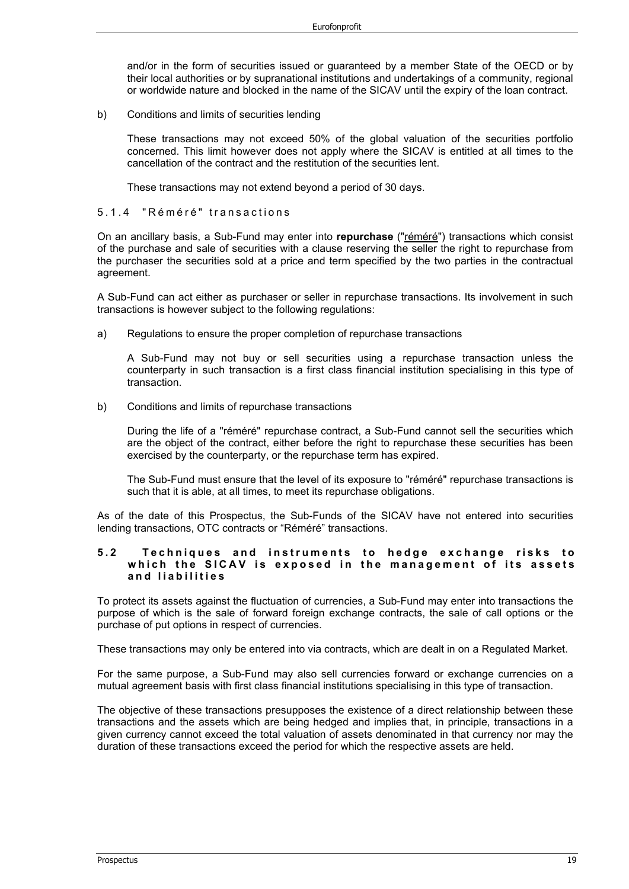and/or in the form of securities issued or guaranteed by a member State of the OECD or by their local authorities or by supranational institutions and undertakings of a community, regional or worldwide nature and blocked in the name of the SICAV until the expiry of the loan contract.

b) Conditions and limits of securities lending

These transactions may not exceed 50% of the global valuation of the securities portfolio concerned. This limit however does not apply where the SICAV is entitled at all times to the cancellation of the contract and the restitution of the securities lent.

These transactions may not extend beyond a period of 30 days.

#### 5.1.4 "Réméré" transactions

On an ancillary basis, a Sub-Fund may enter into **repurchase** ("réméré") transactions which consist of the purchase and sale of securities with a clause reserving the seller the right to repurchase from the purchaser the securities sold at a price and term specified by the two parties in the contractual agreement.

A Sub-Fund can act either as purchaser or seller in repurchase transactions. Its involvement in such transactions is however subject to the following regulations:

a) Regulations to ensure the proper completion of repurchase transactions

A Sub-Fund may not buy or sell securities using a repurchase transaction unless the counterparty in such transaction is a first class financial institution specialising in this type of transaction.

b) Conditions and limits of repurchase transactions

During the life of a "réméré" repurchase contract, a Sub-Fund cannot sell the securities which are the object of the contract, either before the right to repurchase these securities has been exercised by the counterparty, or the repurchase term has expired.

The Sub-Fund must ensure that the level of its exposure to "réméré" repurchase transactions is such that it is able, at all times, to meet its repurchase obligations.

As of the date of this Prospectus, the Sub-Funds of the SICAV have not entered into securities lending transactions, OTC contracts or "Réméré" transactions.

#### **5.2 Techniques and instruments to hedge exchange risks to which the SICAV is exposed in the management of its assets and liabilities**

To protect its assets against the fluctuation of currencies, a Sub-Fund may enter into transactions the purpose of which is the sale of forward foreign exchange contracts, the sale of call options or the purchase of put options in respect of currencies.

These transactions may only be entered into via contracts, which are dealt in on a Regulated Market.

For the same purpose, a Sub-Fund may also sell currencies forward or exchange currencies on a mutual agreement basis with first class financial institutions specialising in this type of transaction.

The objective of these transactions presupposes the existence of a direct relationship between these transactions and the assets which are being hedged and implies that, in principle, transactions in a given currency cannot exceed the total valuation of assets denominated in that currency nor may the duration of these transactions exceed the period for which the respective assets are held.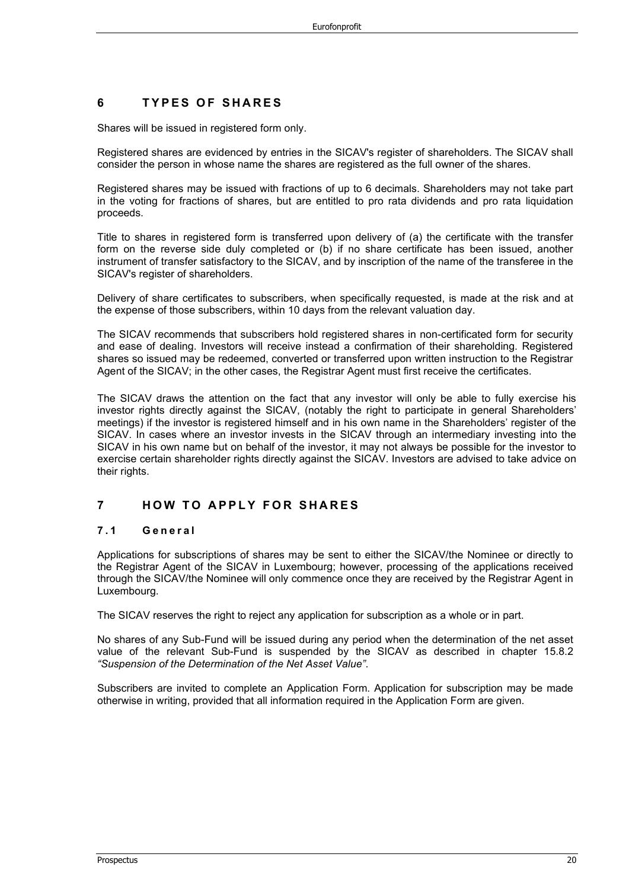## **6 TYPES OF SHARES**

Shares will be issued in registered form only.

Registered shares are evidenced by entries in the SICAV's register of shareholders. The SICAV shall consider the person in whose name the shares are registered as the full owner of the shares.

Registered shares may be issued with fractions of up to 6 decimals. Shareholders may not take part in the voting for fractions of shares, but are entitled to pro rata dividends and pro rata liquidation proceeds.

Title to shares in registered form is transferred upon delivery of (a) the certificate with the transfer form on the reverse side duly completed or (b) if no share certificate has been issued, another instrument of transfer satisfactory to the SICAV, and by inscription of the name of the transferee in the SICAV's register of shareholders.

Delivery of share certificates to subscribers, when specifically requested, is made at the risk and at the expense of those subscribers, within 10 days from the relevant valuation day.

The SICAV recommends that subscribers hold registered shares in non-certificated form for security and ease of dealing. Investors will receive instead a confirmation of their shareholding. Registered shares so issued may be redeemed, converted or transferred upon written instruction to the Registrar Agent of the SICAV; in the other cases, the Registrar Agent must first receive the certificates.

The SICAV draws the attention on the fact that any investor will only be able to fully exercise his investor rights directly against the SICAV, (notably the right to participate in general Shareholders' meetings) if the investor is registered himself and in his own name in the Shareholders' register of the SICAV. In cases where an investor invests in the SICAV through an intermediary investing into the SICAV in his own name but on behalf of the investor, it may not always be possible for the investor to exercise certain shareholder rights directly against the SICAV. Investors are advised to take advice on their rights.

## **7 HOW TO APPLY FOR SHARES**

#### **7.1 General**

Applications for subscriptions of shares may be sent to either the SICAV/the Nominee or directly to the Registrar Agent of the SICAV in Luxembourg; however, processing of the applications received through the SICAV/the Nominee will only commence once they are received by the Registrar Agent in Luxembourg.

The SICAV reserves the right to reject any application for subscription as a whole or in part.

No shares of any Sub-Fund will be issued during any period when the determination of the net asset value of the relevant Sub-Fund is suspended by the SICAV as described in chapter 15.8.2 *"Suspension of the Determination of the Net Asset Value"*.

Subscribers are invited to complete an Application Form. Application for subscription may be made otherwise in writing, provided that all information required in the Application Form are given.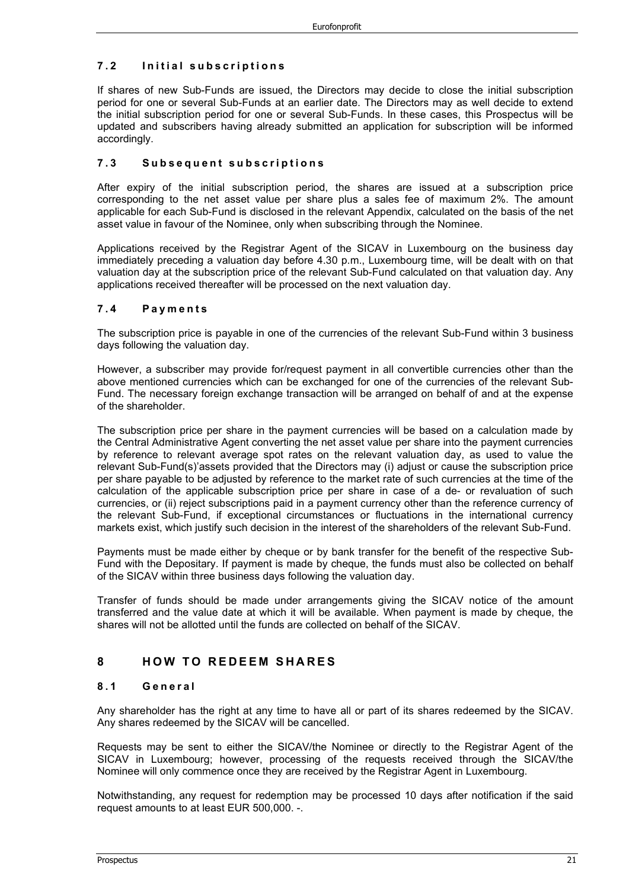## **7.2 Initial subscriptions**

If shares of new Sub-Funds are issued, the Directors may decide to close the initial subscription period for one or several Sub-Funds at an earlier date. The Directors may as well decide to extend the initial subscription period for one or several Sub-Funds. In these cases, this Prospectus will be updated and subscribers having already submitted an application for subscription will be informed accordingly.

#### **7.3 Subsequent subscriptions**

After expiry of the initial subscription period, the shares are issued at a subscription price corresponding to the net asset value per share plus a sales fee of maximum 2%. The amount applicable for each Sub-Fund is disclosed in the relevant Appendix, calculated on the basis of the net asset value in favour of the Nominee, only when subscribing through the Nominee.

Applications received by the Registrar Agent of the SICAV in Luxembourg on the business day immediately preceding a valuation day before 4.30 p.m., Luxembourg time, will be dealt with on that valuation day at the subscription price of the relevant Sub-Fund calculated on that valuation day. Any applications received thereafter will be processed on the next valuation day.

#### **7.4 Payments**

The subscription price is payable in one of the currencies of the relevant Sub-Fund within 3 business days following the valuation day.

However, a subscriber may provide for/request payment in all convertible currencies other than the above mentioned currencies which can be exchanged for one of the currencies of the relevant Sub-Fund. The necessary foreign exchange transaction will be arranged on behalf of and at the expense of the shareholder.

The subscription price per share in the payment currencies will be based on a calculation made by the Central Administrative Agent converting the net asset value per share into the payment currencies by reference to relevant average spot rates on the relevant valuation day, as used to value the relevant Sub-Fund(s)'assets provided that the Directors may (i) adjust or cause the subscription price per share payable to be adjusted by reference to the market rate of such currencies at the time of the calculation of the applicable subscription price per share in case of a de- or revaluation of such currencies, or (ii) reject subscriptions paid in a payment currency other than the reference currency of the relevant Sub-Fund, if exceptional circumstances or fluctuations in the international currency markets exist, which justify such decision in the interest of the shareholders of the relevant Sub-Fund.

Payments must be made either by cheque or by bank transfer for the benefit of the respective Sub-Fund with the Depositary. If payment is made by cheque, the funds must also be collected on behalf of the SICAV within three business days following the valuation day.

Transfer of funds should be made under arrangements giving the SICAV notice of the amount transferred and the value date at which it will be available. When payment is made by cheque, the shares will not be allotted until the funds are collected on behalf of the SICAV.

## **8 HOW TO REDEEM SHARES**

#### **8.1 General**

Any shareholder has the right at any time to have all or part of its shares redeemed by the SICAV. Any shares redeemed by the SICAV will be cancelled.

Requests may be sent to either the SICAV/the Nominee or directly to the Registrar Agent of the SICAV in Luxembourg; however, processing of the requests received through the SICAV/the Nominee will only commence once they are received by the Registrar Agent in Luxembourg.

Notwithstanding, any request for redemption may be processed 10 days after notification if the said request amounts to at least EUR 500,000. -.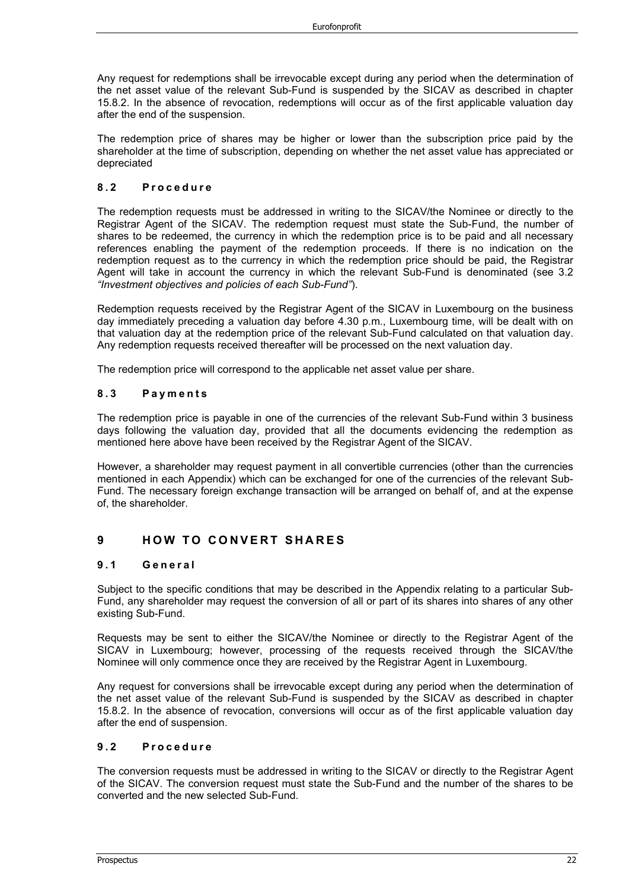Any request for redemptions shall be irrevocable except during any period when the determination of the net asset value of the relevant Sub-Fund is suspended by the SICAV as described in chapter 15.8.2. In the absence of revocation, redemptions will occur as of the first applicable valuation day after the end of the suspension.

The redemption price of shares may be higher or lower than the subscription price paid by the shareholder at the time of subscription, depending on whether the net asset value has appreciated or depreciated

#### **8.2 Procedure**

The redemption requests must be addressed in writing to the SICAV/the Nominee or directly to the Registrar Agent of the SICAV. The redemption request must state the Sub-Fund, the number of shares to be redeemed, the currency in which the redemption price is to be paid and all necessary references enabling the payment of the redemption proceeds. If there is no indication on the redemption request as to the currency in which the redemption price should be paid, the Registrar Agent will take in account the currency in which the relevant Sub-Fund is denominated (see 3.2 *"Investment objectives and policies of each Sub-Fund"*).

Redemption requests received by the Registrar Agent of the SICAV in Luxembourg on the business day immediately preceding a valuation day before 4.30 p.m., Luxembourg time, will be dealt with on that valuation day at the redemption price of the relevant Sub-Fund calculated on that valuation day. Any redemption requests received thereafter will be processed on the next valuation day.

The redemption price will correspond to the applicable net asset value per share.

#### **8.3 Payments**

The redemption price is payable in one of the currencies of the relevant Sub-Fund within 3 business days following the valuation day, provided that all the documents evidencing the redemption as mentioned here above have been received by the Registrar Agent of the SICAV.

However, a shareholder may request payment in all convertible currencies (other than the currencies mentioned in each Appendix) which can be exchanged for one of the currencies of the relevant Sub-Fund. The necessary foreign exchange transaction will be arranged on behalf of, and at the expense of, the shareholder.

## **9 HOW TO CONVERT SHARES**

#### **9.1 Gen eral**

Subject to the specific conditions that may be described in the Appendix relating to a particular Sub-Fund, any shareholder may request the conversion of all or part of its shares into shares of any other existing Sub-Fund.

Requests may be sent to either the SICAV/the Nominee or directly to the Registrar Agent of the SICAV in Luxembourg; however, processing of the requests received through the SICAV/the Nominee will only commence once they are received by the Registrar Agent in Luxembourg.

Any request for conversions shall be irrevocable except during any period when the determination of the net asset value of the relevant Sub-Fund is suspended by the SICAV as described in chapter 15.8.2. In the absence of revocation, conversions will occur as of the first applicable valuation day after the end of suspension.

#### **9.2 Procedure**

The conversion requests must be addressed in writing to the SICAV or directly to the Registrar Agent of the SICAV. The conversion request must state the Sub-Fund and the number of the shares to be converted and the new selected Sub-Fund.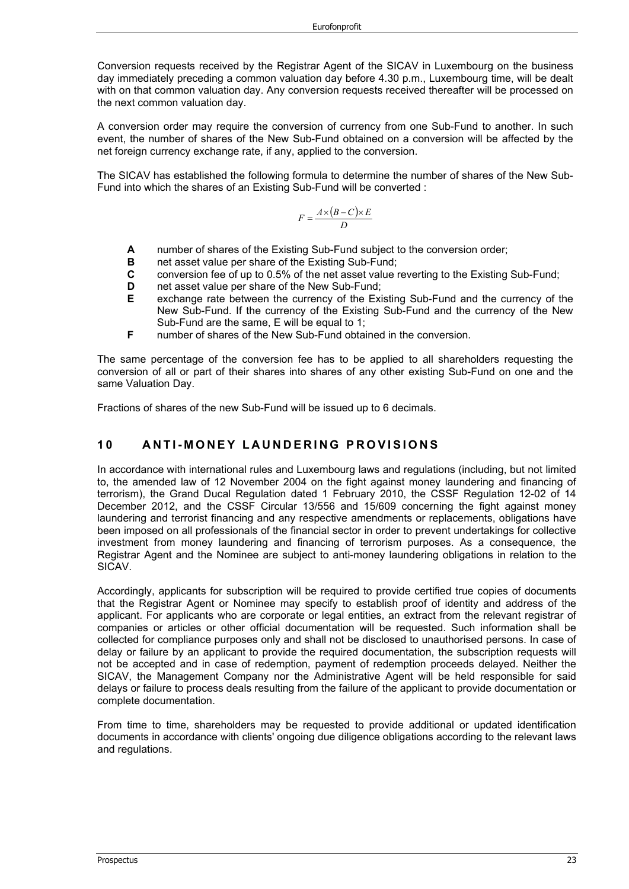Conversion requests received by the Registrar Agent of the SICAV in Luxembourg on the business day immediately preceding a common valuation day before 4.30 p.m., Luxembourg time, will be dealt with on that common valuation day. Any conversion requests received thereafter will be processed on the next common valuation day.

A conversion order may require the conversion of currency from one Sub-Fund to another. In such event, the number of shares of the New Sub-Fund obtained on a conversion will be affected by the net foreign currency exchange rate, if any, applied to the conversion.

The SICAV has established the following formula to determine the number of shares of the New Sub-Fund into which the shares of an Existing Sub-Fund will be converted :

$$
F = \frac{A \times (B - C) \times E}{D}
$$

- **A** number of shares of the Existing Sub-Fund subject to the conversion order;<br>**B** net asset value per share of the Existing Sub-Fund:
- **B** net asset value per share of the Existing Sub-Fund;<br>**C** conversion fee of up to 0.5% of the net asset value is
- **C** conversion fee of up to 0.5% of the net asset value reverting to the Existing Sub-Fund;
- **D** net asset value per share of the New Sub-Fund;
- **E** exchange rate between the currency of the Existing Sub-Fund and the currency of the New Sub-Fund. If the currency of the Existing Sub-Fund and the currency of the New Sub-Fund are the same, E will be equal to 1;
- **F** number of shares of the New Sub-Fund obtained in the conversion.

The same percentage of the conversion fee has to be applied to all shareholders requesting the conversion of all or part of their shares into shares of any other existing Sub-Fund on one and the same Valuation Day.

Fractions of shares of the new Sub-Fund will be issued up to 6 decimals.

## **1 0 ANTI - MONEY LAUNDERING PROVISIONS**

In accordance with international rules and Luxembourg laws and regulations (including, but not limited to, the amended law of 12 November 2004 on the fight against money laundering and financing of terrorism), the Grand Ducal Regulation dated 1 February 2010, the CSSF Regulation 12-02 of 14 December 2012, and the CSSF Circular 13/556 and 15/609 concerning the fight against money laundering and terrorist financing and any respective amendments or replacements, obligations have been imposed on all professionals of the financial sector in order to prevent undertakings for collective investment from money laundering and financing of terrorism purposes. As a consequence, the Registrar Agent and the Nominee are subject to anti-money laundering obligations in relation to the SICAV.

Accordingly, applicants for subscription will be required to provide certified true copies of documents that the Registrar Agent or Nominee may specify to establish proof of identity and address of the applicant. For applicants who are corporate or legal entities, an extract from the relevant registrar of companies or articles or other official documentation will be requested. Such information shall be collected for compliance purposes only and shall not be disclosed to unauthorised persons. In case of delay or failure by an applicant to provide the required documentation, the subscription requests will not be accepted and in case of redemption, payment of redemption proceeds delayed. Neither the SICAV, the Management Company nor the Administrative Agent will be held responsible for said delays or failure to process deals resulting from the failure of the applicant to provide documentation or complete documentation.

From time to time, shareholders may be requested to provide additional or updated identification documents in accordance with clients' ongoing due diligence obligations according to the relevant laws and regulations.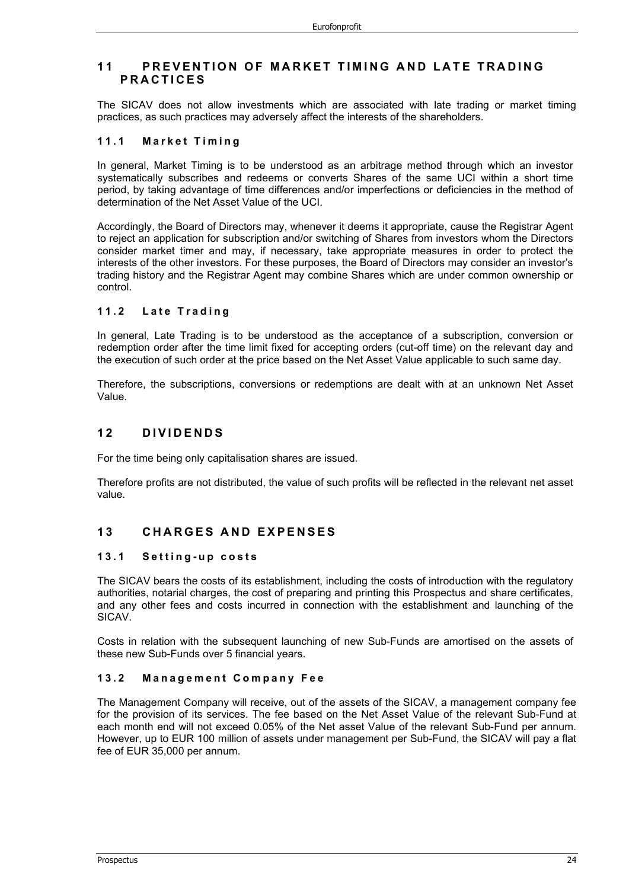## **1 1 PREVENTION OF MARKET TIMING AND LATE TRADING PRACTICES**

The SICAV does not allow investments which are associated with late trading or market timing practices, as such practices may adversely affect the interests of the shareholders.

#### **11.1 Market Timing**

In general, Market Timing is to be understood as an arbitrage method through which an investor systematically subscribes and redeems or converts Shares of the same UCI within a short time period, by taking advantage of time differences and/or imperfections or deficiencies in the method of determination of the Net Asset Value of the UCI.

Accordingly, the Board of Directors may, whenever it deems it appropriate, cause the Registrar Agent to reject an application for subscription and/or switching of Shares from investors whom the Directors consider market timer and may, if necessary, take appropriate measures in order to protect the interests of the other investors. For these purposes, the Board of Directors may consider an investor's trading history and the Registrar Agent may combine Shares which are under common ownership or control.

#### **11.2 Late Trading**

In general, Late Trading is to be understood as the acceptance of a subscription, conversion or redemption order after the time limit fixed for accepting orders (cut-off time) on the relevant day and the execution of such order at the price based on the Net Asset Value applicable to such same day.

Therefore, the subscriptions, conversions or redemptions are dealt with at an unknown Net Asset Value.

## **1 2 DIVIDENDS**

For the time being only capitalisation shares are issued.

Therefore profits are not distributed, the value of such profits will be reflected in the relevant net asset value.

## **1 3 CHARGES AND EXPENSES**

#### **13.1 Setting - up costs**

The SICAV bears the costs of its establishment, including the costs of introduction with the regulatory authorities, notarial charges, the cost of preparing and printing this Prospectus and share certificates, and any other fees and costs incurred in connection with the establishment and launching of the SICAV.

Costs in relation with the subsequent launching of new Sub-Funds are amortised on the assets of these new Sub-Funds over 5 financial years.

#### **13.2 Management Company Fee**

The Management Company will receive, out of the assets of the SICAV, a management company fee for the provision of its services. The fee based on the Net Asset Value of the relevant Sub-Fund at each month end will not exceed 0.05% of the Net asset Value of the relevant Sub-Fund per annum. However, up to EUR 100 million of assets under management per Sub-Fund, the SICAV will pay a flat fee of EUR 35,000 per annum.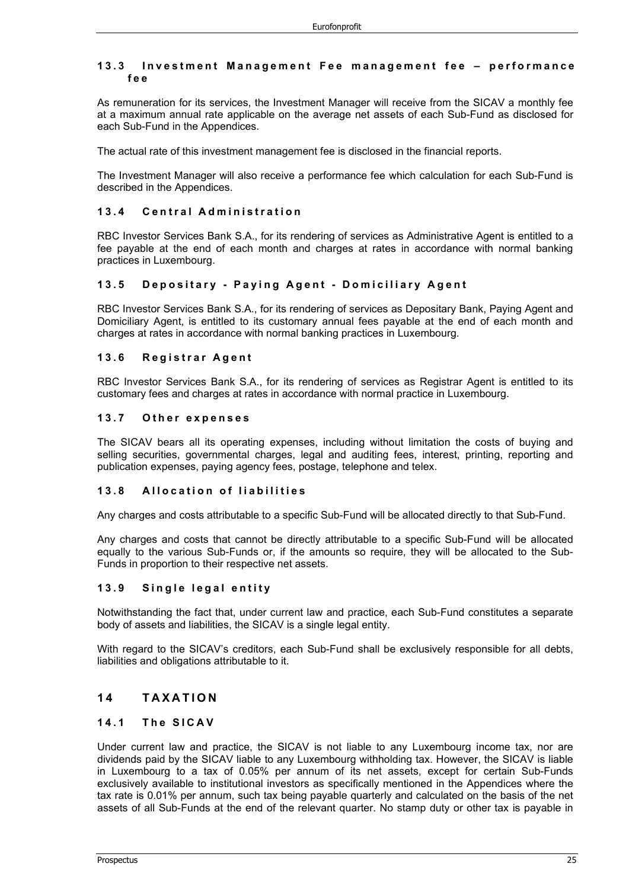#### **13.3 Investment Management Fee management fee – performance fee**

As remuneration for its services, the Investment Manager will receive from the SICAV a monthly fee at a maximum annual rate applicable on the average net assets of each Sub-Fund as disclosed for each Sub-Fund in the Appendices.

The actual rate of this investment management fee is disclosed in the financial reports.

The Investment Manager will also receive a performance fee which calculation for each Sub-Fund is described in the Appendices.

#### **13.4 Central Administration**

RBC Investor Services Bank S.A., for its rendering of services as Administrative Agent is entitled to a fee payable at the end of each month and charges at rates in accordance with normal banking practices in Luxembourg.

#### **13.5 Depositary - Paying Agent - Domiciliary Agent**

RBC Investor Services Bank S.A., for its rendering of services as Depositary Bank, Paying Agent and Domiciliary Agent, is entitled to its customary annual fees payable at the end of each month and charges at rates in accordance with normal banking practices in Luxembourg.

#### **13.6 Registrar Agent**

RBC Investor Services Bank S.A., for its rendering of services as Registrar Agent is entitled to its customary fees and charges at rates in accordance with normal practice in Luxembourg.

#### **13.7 Other expenses**

The SICAV bears all its operating expenses, including without limitation the costs of buying and selling securities, governmental charges, legal and auditing fees, interest, printing, reporting and publication expenses, paying agency fees, postage, telephone and telex.

#### **13.8 Allocation of liabilities**

Any charges and costs attributable to a specific Sub-Fund will be allocated directly to that Sub-Fund.

Any charges and costs that cannot be directly attributable to a specific Sub-Fund will be allocated equally to the various Sub-Funds or, if the amounts so require, they will be allocated to the Sub-Funds in proportion to their respective net assets.

#### **13.9 Single legal entity**

Notwithstanding the fact that, under current law and practice, each Sub-Fund constitutes a separate body of assets and liabilities, the SICAV is a single legal entity.

With regard to the SICAV's creditors, each Sub-Fund shall be exclusively responsible for all debts, liabilities and obligations attributable to it.

## **1 4 TAXATION**

## **14.1 The SICAV**

Under current law and practice, the SICAV is not liable to any Luxembourg income tax, nor are dividends paid by the SICAV liable to any Luxembourg withholding tax. However, the SICAV is liable in Luxembourg to a tax of 0.05% per annum of its net assets, except for certain Sub-Funds exclusively available to institutional investors as specifically mentioned in the Appendices where the tax rate is 0.01% per annum, such tax being payable quarterly and calculated on the basis of the net assets of all Sub-Funds at the end of the relevant quarter. No stamp duty or other tax is payable in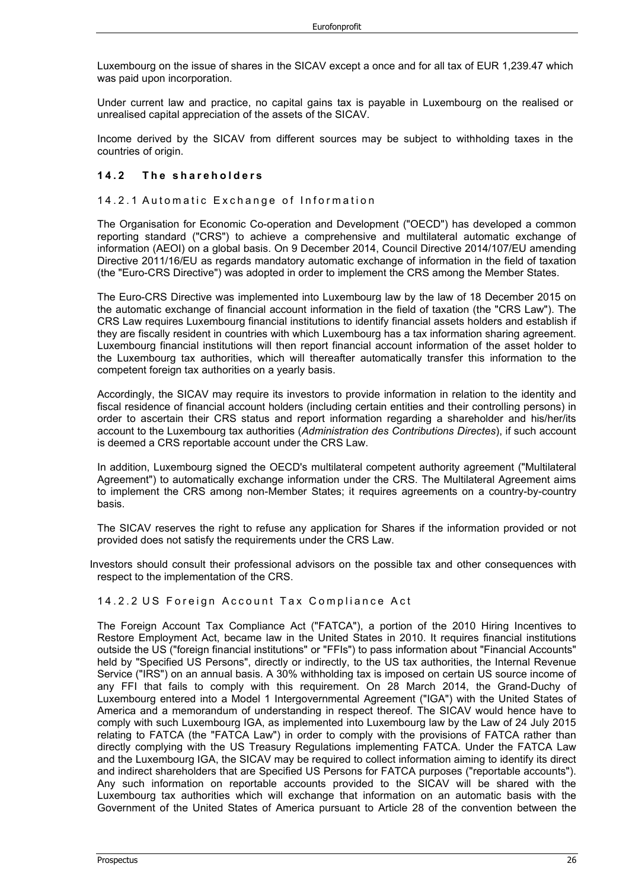Luxembourg on the issue of shares in the SICAV except a once and for all tax of EUR 1,239.47 which was paid upon incorporation.

Under current law and practice, no capital gains tax is payable in Luxembourg on the realised or unrealised capital appreciation of the assets of the SICAV.

Income derived by the SICAV from different sources may be subject to withholding taxes in the countries of origin.

#### **14.2 The shareholders**

#### 14.2.1 Automatic Exchange of Information

The Organisation for Economic Co-operation and Development ("OECD") has developed a common reporting standard ("CRS") to achieve a comprehensive and multilateral automatic exchange of information (AEOI) on a global basis. On 9 December 2014, Council Directive 2014/107/EU amending Directive 2011/16/EU as regards mandatory automatic exchange of information in the field of taxation (the "Euro-CRS Directive") was adopted in order to implement the CRS among the Member States.

The Euro-CRS Directive was implemented into Luxembourg law by the law of 18 December 2015 on the automatic exchange of financial account information in the field of taxation (the "CRS Law"). The CRS Law requires Luxembourg financial institutions to identify financial assets holders and establish if they are fiscally resident in countries with which Luxembourg has a tax information sharing agreement. Luxembourg financial institutions will then report financial account information of the asset holder to the Luxembourg tax authorities, which will thereafter automatically transfer this information to the competent foreign tax authorities on a yearly basis.

Accordingly, the SICAV may require its investors to provide information in relation to the identity and fiscal residence of financial account holders (including certain entities and their controlling persons) in order to ascertain their CRS status and report information regarding a shareholder and his/her/its account to the Luxembourg tax authorities (*Administration des Contributions Directes*), if such account is deemed a CRS reportable account under the CRS Law.

In addition, Luxembourg signed the OECD's multilateral competent authority agreement ("Multilateral Agreement") to automatically exchange information under the CRS. The Multilateral Agreement aims to implement the CRS among non-Member States; it requires agreements on a country-by-country basis.

The SICAV reserves the right to refuse any application for Shares if the information provided or not provided does not satisfy the requirements under the CRS Law.

Investors should consult their professional advisors on the possible tax and other consequences with respect to the implementation of the CRS.

#### 14.2.2 US Foreign Account Tax Compliance Act

The Foreign Account Tax Compliance Act ("FATCA"), a portion of the 2010 Hiring Incentives to Restore Employment Act, became law in the United States in 2010. It requires financial institutions outside the US ("foreign financial institutions" or "FFIs") to pass information about "Financial Accounts" held by "Specified US Persons", directly or indirectly, to the US tax authorities, the Internal Revenue Service ("IRS") on an annual basis. A 30% withholding tax is imposed on certain US source income of any FFI that fails to comply with this requirement. On 28 March 2014, the Grand-Duchy of Luxembourg entered into a Model 1 Intergovernmental Agreement ("IGA") with the United States of America and a memorandum of understanding in respect thereof. The SICAV would hence have to comply with such Luxembourg IGA, as implemented into Luxembourg law by the Law of 24 July 2015 relating to FATCA (the "FATCA Law") in order to comply with the provisions of FATCA rather than directly complying with the US Treasury Regulations implementing FATCA. Under the FATCA Law and the Luxembourg IGA, the SICAV may be required to collect information aiming to identify its direct and indirect shareholders that are Specified US Persons for FATCA purposes ("reportable accounts"). Any such information on reportable accounts provided to the SICAV will be shared with the Luxembourg tax authorities which will exchange that information on an automatic basis with the Government of the United States of America pursuant to Article 28 of the convention between the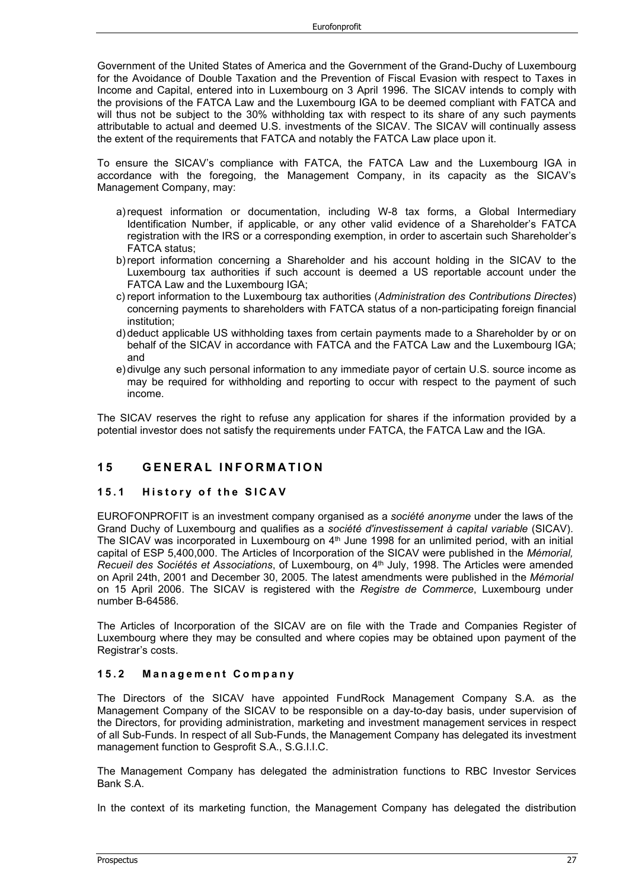Government of the United States of America and the Government of the Grand-Duchy of Luxembourg for the Avoidance of Double Taxation and the Prevention of Fiscal Evasion with respect to Taxes in Income and Capital, entered into in Luxembourg on 3 April 1996. The SICAV intends to comply with the provisions of the FATCA Law and the Luxembourg IGA to be deemed compliant with FATCA and will thus not be subject to the 30% withholding tax with respect to its share of any such payments attributable to actual and deemed U.S. investments of the SICAV. The SICAV will continually assess the extent of the requirements that FATCA and notably the FATCA Law place upon it.

To ensure the SICAV's compliance with FATCA, the FATCA Law and the Luxembourg IGA in accordance with the foregoing, the Management Company, in its capacity as the SICAV's Management Company, may:

- a)request information or documentation, including W-8 tax forms, a Global Intermediary Identification Number, if applicable, or any other valid evidence of a Shareholder's FATCA registration with the IRS or a corresponding exemption, in order to ascertain such Shareholder's FATCA status;
- b)report information concerning a Shareholder and his account holding in the SICAV to the Luxembourg tax authorities if such account is deemed a US reportable account under the FATCA Law and the Luxembourg IGA;
- c) report information to the Luxembourg tax authorities (*Administration des Contributions Directes*) concerning payments to shareholders with FATCA status of a non-participating foreign financial institution;
- d) deduct applicable US withholding taxes from certain payments made to a Shareholder by or on behalf of the SICAV in accordance with FATCA and the FATCA Law and the Luxembourg IGA; and
- e) divulge any such personal information to any immediate payor of certain U.S. source income as may be required for withholding and reporting to occur with respect to the payment of such income.

The SICAV reserves the right to refuse any application for shares if the information provided by a potential investor does not satisfy the requirements under FATCA, the FATCA Law and the IGA.

## **1 5 GENERAL INFORMATION**

#### **15.1 History of the SICAV**

EUROFONPROFIT is an investment company organised as a *société anonyme* under the laws of the Grand Duchy of Luxembourg and qualifies as a *société d'investissement à capital variable* (SICAV). The SICAV was incorporated in Luxembourg on  $4<sup>th</sup>$  June 1998 for an unlimited period, with an initial capital of ESP 5,400,000. The Articles of Incorporation of the SICAV were published in the *Mémorial, Recueil des Sociétés et Associations*, of Luxembourg, on 4<sup>th</sup> July, 1998. The Articles were amended on April 24th, 2001 and December 30, 2005. The latest amendments were published in the *Mémorial* on 15 April 2006. The SICAV is registered with the *Registre de Commerce*, Luxembourg under number B-64586.

The Articles of Incorporation of the SICAV are on file with the Trade and Companies Register of Luxembourg where they may be consulted and where copies may be obtained upon payment of the Registrar's costs.

#### **15.2 Management Company**

The Directors of the SICAV have appointed FundRock Management Company S.A. as the Management Company of the SICAV to be responsible on a day-to-day basis, under supervision of the Directors, for providing administration, marketing and investment management services in respect of all Sub-Funds. In respect of all Sub-Funds, the Management Company has delegated its investment management function to Gesprofit S.A., S.G.I.I.C.

The Management Company has delegated the administration functions to RBC Investor Services Bank S.A.

In the context of its marketing function, the Management Company has delegated the distribution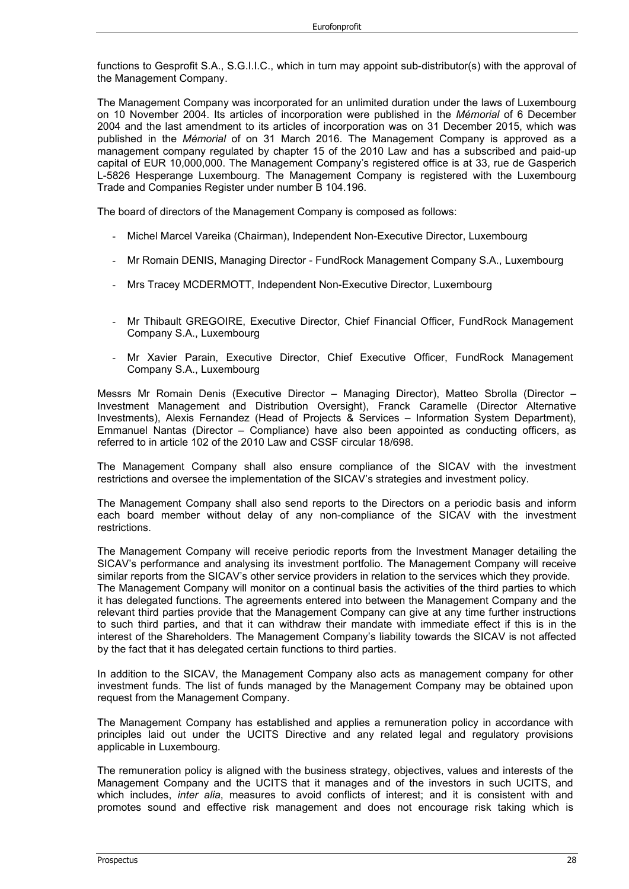functions to Gesprofit S.A., S.G.I.I.C., which in turn may appoint sub-distributor(s) with the approval of the Management Company.

The Management Company was incorporated for an unlimited duration under the laws of Luxembourg on 10 November 2004. Its articles of incorporation were published in the *Mémorial* of 6 December 2004 and the last amendment to its articles of incorporation was on 31 December 2015, which was published in the *Mémorial* of on 31 March 2016. The Management Company is approved as a management company regulated by chapter 15 of the 2010 Law and has a subscribed and paid-up capital of EUR 10,000,000. The Management Company's registered office is at 33, rue de Gasperich L-5826 Hesperange Luxembourg. The Management Company is registered with the Luxembourg Trade and Companies Register under number B 104.196.

The board of directors of the Management Company is composed as follows:

- Michel Marcel Vareika (Chairman), Independent Non-Executive Director, Luxembourg
- Mr Romain DENIS, Managing Director FundRock Management Company S.A., Luxembourg
- Mrs Tracey MCDERMOTT, Independent Non-Executive Director, Luxembourg
- Mr Thibault GREGOIRE, Executive Director, Chief Financial Officer, FundRock Management Company S.A., Luxembourg
- Mr Xavier Parain, Executive Director, Chief Executive Officer, FundRock Management Company S.A., Luxembourg

Messrs Mr Romain Denis (Executive Director – Managing Director), Matteo Sbrolla (Director – Investment Management and Distribution Oversight), Franck Caramelle (Director Alternative Investments), Alexis Fernandez (Head of Projects & Services – Information System Department), Emmanuel Nantas (Director – Compliance) have also been appointed as conducting officers, as referred to in article 102 of the 2010 Law and CSSF circular 18/698.

The Management Company shall also ensure compliance of the SICAV with the investment restrictions and oversee the implementation of the SICAV's strategies and investment policy.

The Management Company shall also send reports to the Directors on a periodic basis and inform each board member without delay of any non-compliance of the SICAV with the investment restrictions.

The Management Company will receive periodic reports from the Investment Manager detailing the SICAV's performance and analysing its investment portfolio. The Management Company will receive similar reports from the SICAV's other service providers in relation to the services which they provide. The Management Company will monitor on a continual basis the activities of the third parties to which it has delegated functions. The agreements entered into between the Management Company and the relevant third parties provide that the Management Company can give at any time further instructions to such third parties, and that it can withdraw their mandate with immediate effect if this is in the interest of the Shareholders. The Management Company's liability towards the SICAV is not affected by the fact that it has delegated certain functions to third parties.

In addition to the SICAV, the Management Company also acts as management company for other investment funds. The list of funds managed by the Management Company may be obtained upon request from the Management Company.

The Management Company has established and applies a remuneration policy in accordance with principles laid out under the UCITS Directive and any related legal and regulatory provisions applicable in Luxembourg.

The remuneration policy is aligned with the business strategy, objectives, values and interests of the Management Company and the UCITS that it manages and of the investors in such UCITS, and which includes, *inter alia*, measures to avoid conflicts of interest; and it is consistent with and promotes sound and effective risk management and does not encourage risk taking which is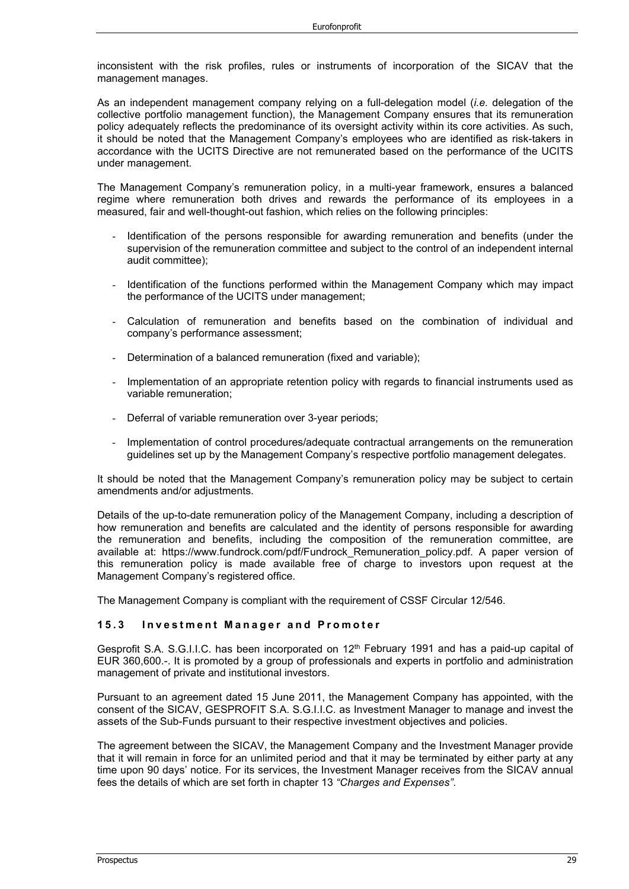inconsistent with the risk profiles, rules or instruments of incorporation of the SICAV that the management manages.

As an independent management company relying on a full-delegation model (*i.e.* delegation of the collective portfolio management function), the Management Company ensures that its remuneration policy adequately reflects the predominance of its oversight activity within its core activities. As such, it should be noted that the Management Company's employees who are identified as risk-takers in accordance with the UCITS Directive are not remunerated based on the performance of the UCITS under management.

The Management Company's remuneration policy, in a multi-year framework, ensures a balanced regime where remuneration both drives and rewards the performance of its employees in a measured, fair and well-thought-out fashion, which relies on the following principles:

- Identification of the persons responsible for awarding remuneration and benefits (under the supervision of the remuneration committee and subject to the control of an independent internal audit committee);
- Identification of the functions performed within the Management Company which may impact the performance of the UCITS under management;
- Calculation of remuneration and benefits based on the combination of individual and company's performance assessment;
- Determination of a balanced remuneration (fixed and variable);
- Implementation of an appropriate retention policy with regards to financial instruments used as variable remuneration;
- Deferral of variable remuneration over 3-year periods;
- Implementation of control procedures/adequate contractual arrangements on the remuneration guidelines set up by the Management Company's respective portfolio management delegates.

It should be noted that the Management Company's remuneration policy may be subject to certain amendments and/or adjustments.

Details of the up-to-date remuneration policy of the Management Company, including a description of how remuneration and benefits are calculated and the identity of persons responsible for awarding the remuneration and benefits, including the composition of the remuneration committee, are available at: https://www.fundrock.com/pdf/Fundrock\_Remuneration\_policy.pdf. A paper version of this remuneration policy is made available free of charge to investors upon request at the Management Company's registered office.

The Management Company is compliant with the requirement of CSSF Circular 12/546.

#### **15.3 Investment Manager and Pr o moter**

Gesprofit S.A. S.G.I.I.C. has been incorporated on  $12<sup>th</sup>$  February 1991 and has a paid-up capital of EUR 360,600.-. It is promoted by a group of professionals and experts in portfolio and administration management of private and institutional investors.

Pursuant to an agreement dated 15 June 2011, the Management Company has appointed, with the consent of the SICAV, GESPROFIT S.A. S.G.I.I.C. as Investment Manager to manage and invest the assets of the Sub-Funds pursuant to their respective investment objectives and policies.

The agreement between the SICAV, the Management Company and the Investment Manager provide that it will remain in force for an unlimited period and that it may be terminated by either party at any time upon 90 days' notice. For its services, the Investment Manager receives from the SICAV annual fees the details of which are set forth in chapter 13 *"Charges and Expenses"*.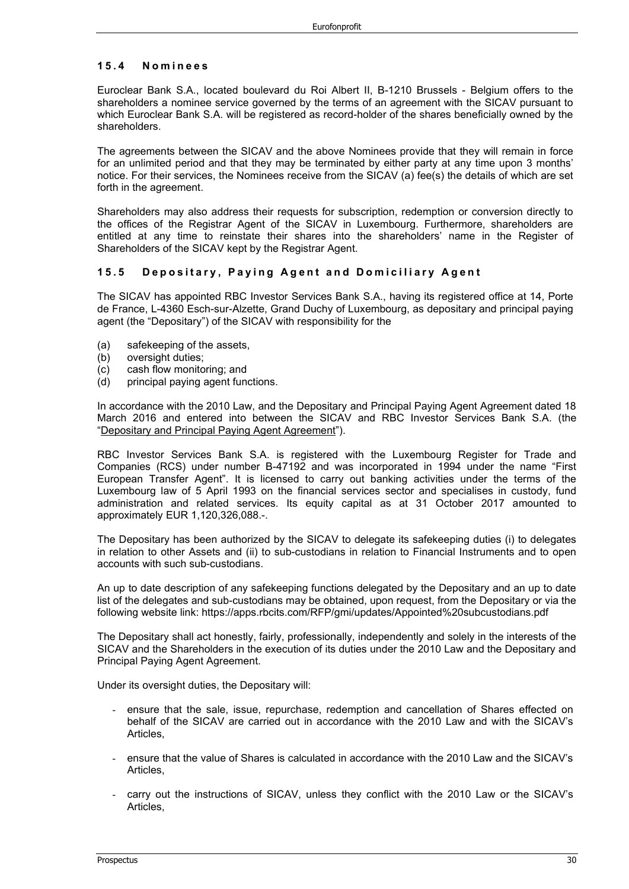#### **15.4 Nominee s**

Euroclear Bank S.A., located boulevard du Roi Albert II, B-1210 Brussels - Belgium offers to the shareholders a nominee service governed by the terms of an agreement with the SICAV pursuant to which Euroclear Bank S.A. will be registered as record-holder of the shares beneficially owned by the shareholders.

The agreements between the SICAV and the above Nominees provide that they will remain in force for an unlimited period and that they may be terminated by either party at any time upon 3 months' notice. For their services, the Nominees receive from the SICAV (a) fee(s) the details of which are set forth in the agreement.

Shareholders may also address their requests for subscription, redemption or conversion directly to the offices of the Registrar Agent of the SICAV in Luxembourg. Furthermore, shareholders are entitled at any time to reinstate their shares into the shareholders' name in the Register of Shareholders of the SICAV kept by the Registrar Agent.

#### **15.5 Depositary , Paying Agent and Domiciliary Agent**

The SICAV has appointed RBC Investor Services Bank S.A., having its registered office at 14, Porte de France, L-4360 Esch-sur-Alzette, Grand Duchy of Luxembourg, as depositary and principal paying agent (the "Depositary") of the SICAV with responsibility for the

- (a) safekeeping of the assets,
- (b) oversight duties;
- (c) cash flow monitoring; and
- (d) principal paying agent functions.

In accordance with the 2010 Law, and the Depositary and Principal Paying Agent Agreement dated 18 March 2016 and entered into between the SICAV and RBC Investor Services Bank S.A. (the "Depositary and Principal Paying Agent Agreement").

RBC Investor Services Bank S.A. is registered with the Luxembourg Register for Trade and Companies (RCS) under number B-47192 and was incorporated in 1994 under the name "First European Transfer Agent". It is licensed to carry out banking activities under the terms of the Luxembourg law of 5 April 1993 on the financial services sector and specialises in custody, fund administration and related services. Its equity capital as at 31 October 2017 amounted to approximately EUR 1,120,326,088.-.

The Depositary has been authorized by the SICAV to delegate its safekeeping duties (i) to delegates in relation to other Assets and (ii) to sub-custodians in relation to Financial Instruments and to open accounts with such sub-custodians.

An up to date description of any safekeeping functions delegated by the Depositary and an up to date list of the delegates and sub-custodians may be obtained, upon request, from the Depositary or via the following website link: https://apps.rbcits.com/RFP/gmi/updates/Appointed%20subcustodians.pdf

The Depositary shall act honestly, fairly, professionally, independently and solely in the interests of the SICAV and the Shareholders in the execution of its duties under the 2010 Law and the Depositary and Principal Paying Agent Agreement.

Under its oversight duties, the Depositary will:

- ensure that the sale, issue, repurchase, redemption and cancellation of Shares effected on behalf of the SICAV are carried out in accordance with the 2010 Law and with the SICAV's Articles,
- ensure that the value of Shares is calculated in accordance with the 2010 Law and the SICAV's Articles,
- carry out the instructions of SICAV, unless they conflict with the 2010 Law or the SICAV's Articles,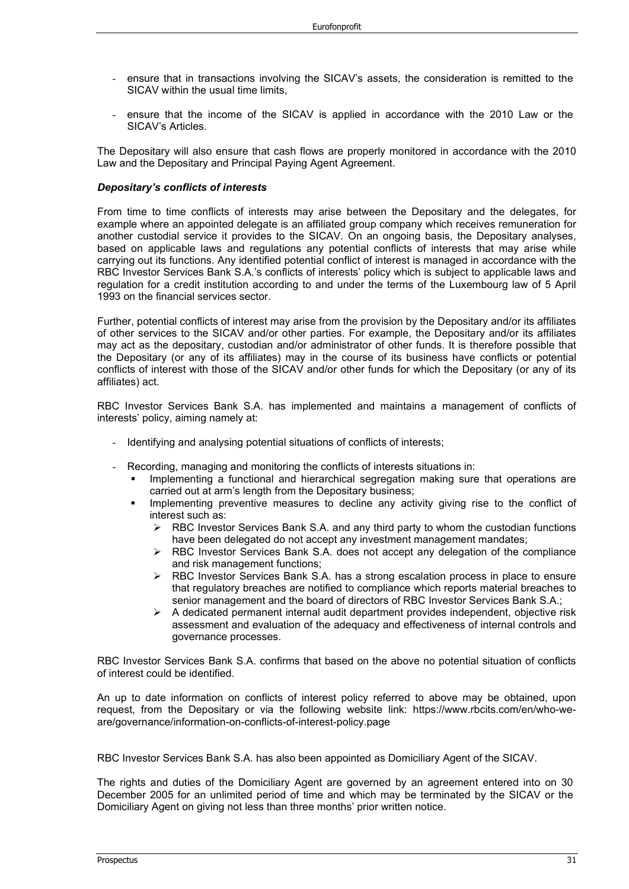- ensure that in transactions involving the SICAV's assets, the consideration is remitted to the SICAV within the usual time limits,
- ensure that the income of the SICAV is applied in accordance with the 2010 Law or the SICAV's Articles.

The Depositary will also ensure that cash flows are properly monitored in accordance with the 2010 Law and the Depositary and Principal Paying Agent Agreement.

#### *Depositary's conflicts of interests*

From time to time conflicts of interests may arise between the Depositary and the delegates, for example where an appointed delegate is an affiliated group company which receives remuneration for another custodial service it provides to the SICAV. On an ongoing basis, the Depositary analyses, based on applicable laws and regulations any potential conflicts of interests that may arise while carrying out its functions. Any identified potential conflict of interest is managed in accordance with the RBC Investor Services Bank S.A.'s conflicts of interests' policy which is subject to applicable laws and regulation for a credit institution according to and under the terms of the Luxembourg law of 5 April 1993 on the financial services sector.

Further, potential conflicts of interest may arise from the provision by the Depositary and/or its affiliates of other services to the SICAV and/or other parties. For example, the Depositary and/or its affiliates may act as the depositary, custodian and/or administrator of other funds. It is therefore possible that the Depositary (or any of its affiliates) may in the course of its business have conflicts or potential conflicts of interest with those of the SICAV and/or other funds for which the Depositary (or any of its affiliates) act.

RBC Investor Services Bank S.A. has implemented and maintains a management of conflicts of interests' policy, aiming namely at:

- Identifying and analysing potential situations of conflicts of interests;
- Recording, managing and monitoring the conflicts of interests situations in:
	- Implementing a functional and hierarchical segregation making sure that operations are carried out at arm's length from the Depositary business;
	- Implementing preventive measures to decline any activity giving rise to the conflict of interest such as:
		- $\triangleright$  RBC Investor Services Bank S.A. and any third party to whom the custodian functions have been delegated do not accept any investment management mandates;
		- $\triangleright$  RBC Investor Services Bank S.A. does not accept any delegation of the compliance and risk management functions;
		- ▶ RBC Investor Services Bank S.A. has a strong escalation process in place to ensure that regulatory breaches are notified to compliance which reports material breaches to senior management and the board of directors of RBC Investor Services Bank S.A.;
		- $\triangleright$  A dedicated permanent internal audit department provides independent, objective risk assessment and evaluation of the adequacy and effectiveness of internal controls and governance processes.

RBC Investor Services Bank S.A. confirms that based on the above no potential situation of conflicts of interest could be identified.

An up to date information on conflicts of interest policy referred to above may be obtained, upon request, from the Depositary or via the following website link: https://www.rbcits.com/en/who-weare/governance/information-on-conflicts-of-interest-policy.page

RBC Investor Services Bank S.A. has also been appointed as Domiciliary Agent of the SICAV.

The rights and duties of the Domiciliary Agent are governed by an agreement entered into on 30 December 2005 for an unlimited period of time and which may be terminated by the SICAV or the Domiciliary Agent on giving not less than three months' prior written notice.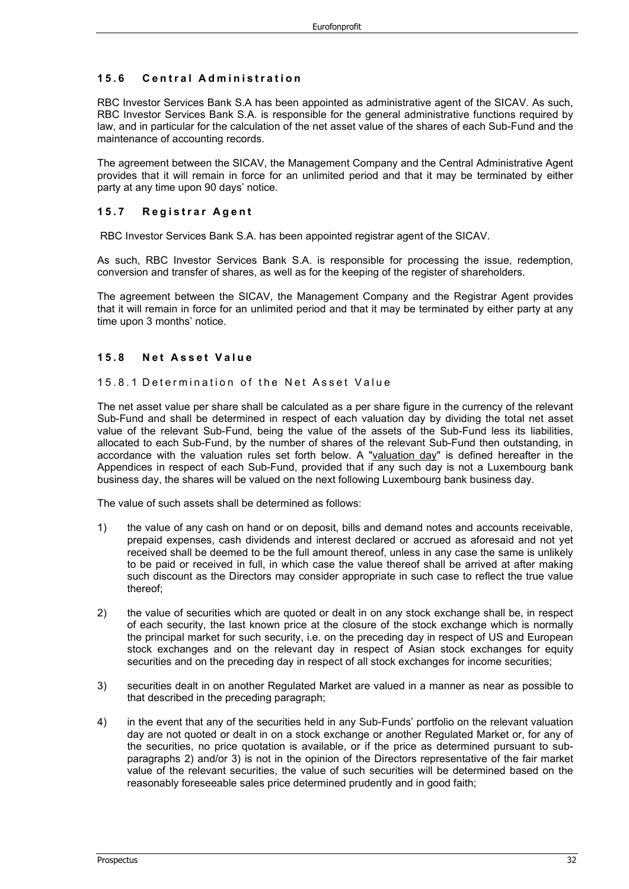## **15.6 Central Administration**

RBC Investor Services Bank S.A has been appointed as administrative agent of the SICAV. As such, RBC Investor Services Bank S.A. is responsible for the general administrative functions required by law, and in particular for the calculation of the net asset value of the shares of each Sub-Fund and the maintenance of accounting records.

The agreement between the SICAV, the Management Company and the Central Administrative Agent provides that it will remain in force for an unlimited period and that it may be terminated by either party at any time upon 90 days' notice.

#### **15.7 Registrar Agent**

RBC Investor Services Bank S.A. has been appointed registrar agent of the SICAV.

As such, RBC Investor Services Bank S.A. is responsible for processing the issue, redemption, conversion and transfer of shares, as well as for the keeping of the register of shareholders.

The agreement between the SICAV, the Management Company and the Registrar Agent provides that it will remain in force for an unlimited period and that it may be terminated by either party at any time upon 3 months' notice.

#### **15.8 Net Asset Value**

15.8.1 Determination of the Net Asset Value

The net asset value per share shall be calculated as a per share figure in the currency of the relevant Sub-Fund and shall be determined in respect of each valuation day by dividing the total net asset value of the relevant Sub-Fund, being the value of the assets of the Sub-Fund less its liabilities, allocated to each Sub-Fund, by the number of shares of the relevant Sub-Fund then outstanding, in accordance with the valuation rules set forth below. A "valuation day" is defined hereafter in the Appendices in respect of each Sub-Fund, provided that if any such day is not a Luxembourg bank business day, the shares will be valued on the next following Luxembourg bank business day.

The value of such assets shall be determined as follows:

- 1) the value of any cash on hand or on deposit, bills and demand notes and accounts receivable, prepaid expenses, cash dividends and interest declared or accrued as aforesaid and not yet received shall be deemed to be the full amount thereof, unless in any case the same is unlikely to be paid or received in full, in which case the value thereof shall be arrived at after making such discount as the Directors may consider appropriate in such case to reflect the true value thereof;
- 2) the value of securities which are quoted or dealt in on any stock exchange shall be, in respect of each security, the last known price at the closure of the stock exchange which is normally the principal market for such security, i.e. on the preceding day in respect of US and European stock exchanges and on the relevant day in respect of Asian stock exchanges for equity securities and on the preceding day in respect of all stock exchanges for income securities;
- 3) securities dealt in on another Regulated Market are valued in a manner as near as possible to that described in the preceding paragraph;
- 4) in the event that any of the securities held in any Sub-Funds' portfolio on the relevant valuation day are not quoted or dealt in on a stock exchange or another Regulated Market or, for any of the securities, no price quotation is available, or if the price as determined pursuant to subparagraphs 2) and/or 3) is not in the opinion of the Directors representative of the fair market value of the relevant securities, the value of such securities will be determined based on the reasonably foreseeable sales price determined prudently and in good faith;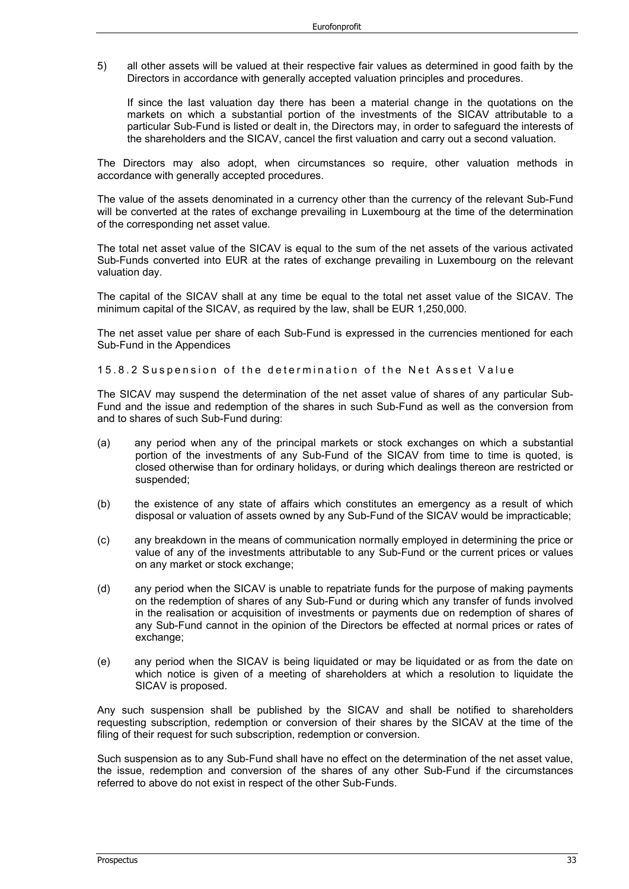5) all other assets will be valued at their respective fair values as determined in good faith by the Directors in accordance with generally accepted valuation principles and procedures.

If since the last valuation day there has been a material change in the quotations on the markets on which a substantial portion of the investments of the SICAV attributable to a particular Sub-Fund is listed or dealt in, the Directors may, in order to safeguard the interests of the shareholders and the SICAV, cancel the first valuation and carry out a second valuation.

The Directors may also adopt, when circumstances so require, other valuation methods in accordance with generally accepted procedures.

The value of the assets denominated in a currency other than the currency of the relevant Sub-Fund will be converted at the rates of exchange prevailing in Luxembourg at the time of the determination of the corresponding net asset value.

The total net asset value of the SICAV is equal to the sum of the net assets of the various activated Sub-Funds converted into EUR at the rates of exchange prevailing in Luxembourg on the relevant valuation day.

The capital of the SICAV shall at any time be equal to the total net asset value of the SICAV. The minimum capital of the SICAV, as required by the law, shall be EUR 1,250,000.

The net asset value per share of each Sub-Fund is expressed in the currencies mentioned for each Sub-Fund in the Appendices

15.8.2 Suspension of the determination of the Net Asset Value

The SICAV may suspend the determination of the net asset value of shares of any particular Sub-Fund and the issue and redemption of the shares in such Sub-Fund as well as the conversion from and to shares of such Sub-Fund during:

- (a) any period when any of the principal markets or stock exchanges on which a substantial portion of the investments of any Sub-Fund of the SICAV from time to time is quoted, is closed otherwise than for ordinary holidays, or during which dealings thereon are restricted or suspended;
- (b) the existence of any state of affairs which constitutes an emergency as a result of which disposal or valuation of assets owned by any Sub-Fund of the SICAV would be impracticable;
- (c) any breakdown in the means of communication normally employed in determining the price or value of any of the investments attributable to any Sub-Fund or the current prices or values on any market or stock exchange;
- (d) any period when the SICAV is unable to repatriate funds for the purpose of making payments on the redemption of shares of any Sub-Fund or during which any transfer of funds involved in the realisation or acquisition of investments or payments due on redemption of shares of any Sub-Fund cannot in the opinion of the Directors be effected at normal prices or rates of exchange;
- (e) any period when the SICAV is being liquidated or may be liquidated or as from the date on which notice is given of a meeting of shareholders at which a resolution to liquidate the SICAV is proposed.

Any such suspension shall be published by the SICAV and shall be notified to shareholders requesting subscription, redemption or conversion of their shares by the SICAV at the time of the filing of their request for such subscription, redemption or conversion.

Such suspension as to any Sub-Fund shall have no effect on the determination of the net asset value, the issue, redemption and conversion of the shares of any other Sub-Fund if the circumstances referred to above do not exist in respect of the other Sub-Funds.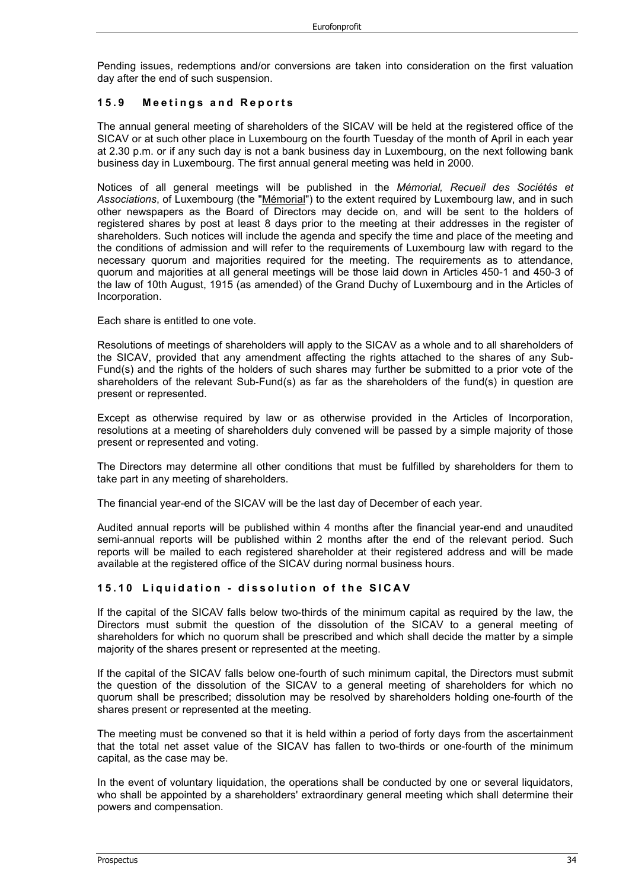Pending issues, redemptions and/or conversions are taken into consideration on the first valuation day after the end of such suspension.

#### **15.9 Meeti ngs and Reports**

The annual general meeting of shareholders of the SICAV will be held at the registered office of the SICAV or at such other place in Luxembourg on the fourth Tuesday of the month of April in each year at 2.30 p.m. or if any such day is not a bank business day in Luxembourg, on the next following bank business day in Luxembourg. The first annual general meeting was held in 2000.

Notices of all general meetings will be published in the *Mémorial, Recueil des Sociétés et*  Associations, of Luxembourg (the "Mémorial") to the extent required by Luxembourg law, and in such other newspapers as the Board of Directors may decide on, and will be sent to the holders of registered shares by post at least 8 days prior to the meeting at their addresses in the register of shareholders. Such notices will include the agenda and specify the time and place of the meeting and the conditions of admission and will refer to the requirements of Luxembourg law with regard to the necessary quorum and majorities required for the meeting. The requirements as to attendance, quorum and majorities at all general meetings will be those laid down in Articles 450-1 and 450-3 of the law of 10th August, 1915 (as amended) of the Grand Duchy of Luxembourg and in the Articles of Incorporation.

Each share is entitled to one vote.

Resolutions of meetings of shareholders will apply to the SICAV as a whole and to all shareholders of the SICAV, provided that any amendment affecting the rights attached to the shares of any Sub-Fund(s) and the rights of the holders of such shares may further be submitted to a prior vote of the shareholders of the relevant Sub-Fund(s) as far as the shareholders of the fund(s) in question are present or represented.

Except as otherwise required by law or as otherwise provided in the Articles of Incorporation, resolutions at a meeting of shareholders duly convened will be passed by a simple majority of those present or represented and voting.

The Directors may determine all other conditions that must be fulfilled by shareholders for them to take part in any meeting of shareholders.

The financial year-end of the SICAV will be the last day of December of each year.

Audited annual reports will be published within 4 months after the financial year-end and unaudited semi-annual reports will be published within 2 months after the end of the relevant period. Such reports will be mailed to each registered shareholder at their registered address and will be made available at the registered office of the SICAV during normal business hours.

#### **15.10 Liquidation - dissolution of the SICAV**

If the capital of the SICAV falls below two-thirds of the minimum capital as required by the law, the Directors must submit the question of the dissolution of the SICAV to a general meeting of shareholders for which no quorum shall be prescribed and which shall decide the matter by a simple majority of the shares present or represented at the meeting.

If the capital of the SICAV falls below one-fourth of such minimum capital, the Directors must submit the question of the dissolution of the SICAV to a general meeting of shareholders for which no quorum shall be prescribed; dissolution may be resolved by shareholders holding one-fourth of the shares present or represented at the meeting.

The meeting must be convened so that it is held within a period of forty days from the ascertainment that the total net asset value of the SICAV has fallen to two-thirds or one-fourth of the minimum capital, as the case may be.

In the event of voluntary liquidation, the operations shall be conducted by one or several liquidators, who shall be appointed by a shareholders' extraordinary general meeting which shall determine their powers and compensation.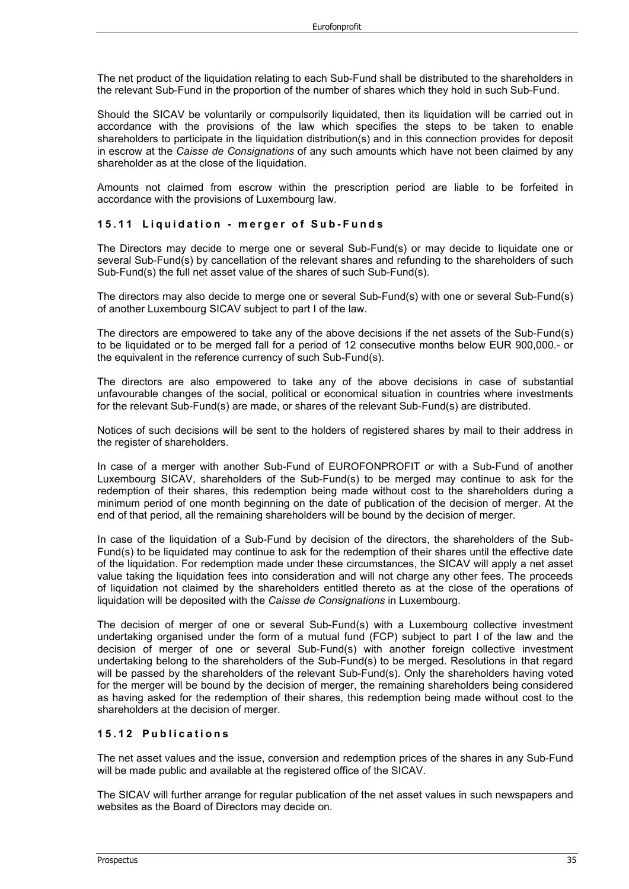The net product of the liquidation relating to each Sub-Fund shall be distributed to the shareholders in the relevant Sub-Fund in the proportion of the number of shares which they hold in such Sub-Fund.

Should the SICAV be voluntarily or compulsorily liquidated, then its liquidation will be carried out in accordance with the provisions of the law which specifies the steps to be taken to enable shareholders to participate in the liquidation distribution(s) and in this connection provides for deposit in escrow at the *Caisse de Consignations* of any such amounts which have not been claimed by any shareholder as at the close of the liquidation.

Amounts not claimed from escrow within the prescription period are liable to be forfeited in accordance with the provisions of Luxembourg law.

#### **15.11 Liquidation - merger of Sub - Funds**

The Directors may decide to merge one or several Sub-Fund(s) or may decide to liquidate one or several Sub-Fund(s) by cancellation of the relevant shares and refunding to the shareholders of such Sub-Fund(s) the full net asset value of the shares of such Sub-Fund(s).

The directors may also decide to merge one or several Sub-Fund(s) with one or several Sub-Fund(s) of another Luxembourg SICAV subject to part I of the law.

The directors are empowered to take any of the above decisions if the net assets of the Sub-Fund(s) to be liquidated or to be merged fall for a period of 12 consecutive months below EUR 900,000.- or the equivalent in the reference currency of such Sub-Fund(s).

The directors are also empowered to take any of the above decisions in case of substantial unfavourable changes of the social, political or economical situation in countries where investments for the relevant Sub-Fund(s) are made, or shares of the relevant Sub-Fund(s) are distributed.

Notices of such decisions will be sent to the holders of registered shares by mail to their address in the register of shareholders.

In case of a merger with another Sub-Fund of EUROFONPROFIT or with a Sub-Fund of another Luxembourg SICAV, shareholders of the Sub-Fund(s) to be merged may continue to ask for the redemption of their shares, this redemption being made without cost to the shareholders during a minimum period of one month beginning on the date of publication of the decision of merger. At the end of that period, all the remaining shareholders will be bound by the decision of merger.

In case of the liquidation of a Sub-Fund by decision of the directors, the shareholders of the Sub-Fund(s) to be liquidated may continue to ask for the redemption of their shares until the effective date of the liquidation. For redemption made under these circumstances, the SICAV will apply a net asset value taking the liquidation fees into consideration and will not charge any other fees. The proceeds of liquidation not claimed by the shareholders entitled thereto as at the close of the operations of liquidation will be deposited with the *Caisse de Consignations* in Luxembourg.

The decision of merger of one or several Sub-Fund(s) with a Luxembourg collective investment undertaking organised under the form of a mutual fund (FCP) subject to part I of the law and the decision of merger of one or several Sub-Fund(s) with another foreign collective investment undertaking belong to the shareholders of the Sub-Fund(s) to be merged. Resolutions in that regard will be passed by the shareholders of the relevant Sub-Fund(s). Only the shareholders having voted for the merger will be bound by the decision of merger, the remaining shareholders being considered as having asked for the redemption of their shares, this redemption being made without cost to the shareholders at the decision of merger.

#### **15.12 Publications**

The net asset values and the issue, conversion and redemption prices of the shares in any Sub-Fund will be made public and available at the registered office of the SICAV.

The SICAV will further arrange for regular publication of the net asset values in such newspapers and websites as the Board of Directors may decide on.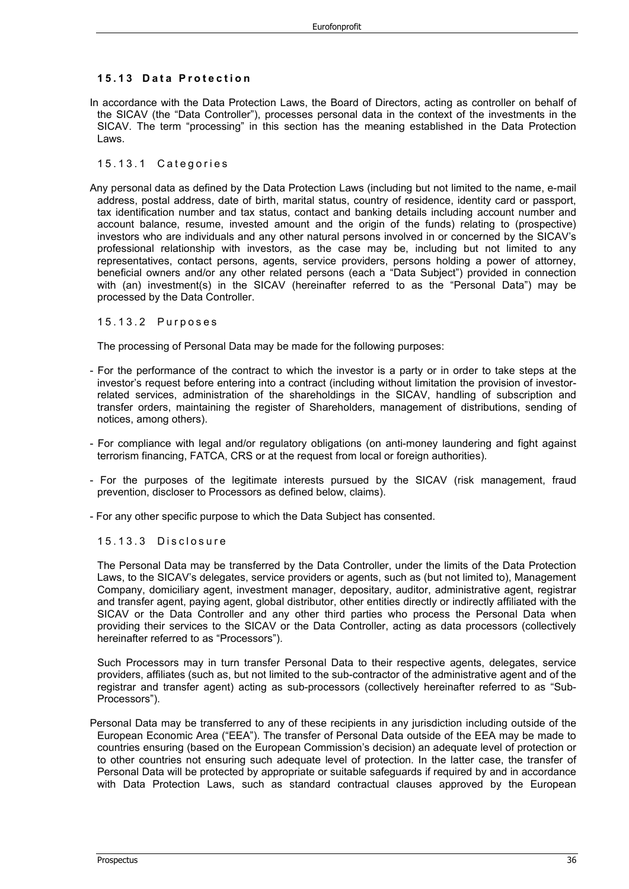#### **15.13 Data Protection**

In accordance with the Data Protection Laws, the Board of Directors, acting as controller on behalf of the SICAV (the "Data Controller"), processes personal data in the context of the investments in the SICAV. The term "processing" in this section has the meaning established in the Data Protection Laws.

#### 15.13.1 Categories

Any personal data as defined by the Data Protection Laws (including but not limited to the name, e-mail address, postal address, date of birth, marital status, country of residence, identity card or passport, tax identification number and tax status, contact and banking details including account number and account balance, resume, invested amount and the origin of the funds) relating to (prospective) investors who are individuals and any other natural persons involved in or concerned by the SICAV's professional relationship with investors, as the case may be, including but not limited to any representatives, contact persons, agents, service providers, persons holding a power of attorney, beneficial owners and/or any other related persons (each a "Data Subject") provided in connection with (an) investment(s) in the SICAV (hereinafter referred to as the "Personal Data") may be processed by the Data Controller.

#### 15.13.2 Purposes

The processing of Personal Data may be made for the following purposes:

- For the performance of the contract to which the investor is a party or in order to take steps at the investor's request before entering into a contract (including without limitation the provision of investorrelated services, administration of the shareholdings in the SICAV, handling of subscription and transfer orders, maintaining the register of Shareholders, management of distributions, sending of notices, among others).
- For compliance with legal and/or regulatory obligations (on anti-money laundering and fight against terrorism financing, FATCA, CRS or at the request from local or foreign authorities).
- For the purposes of the legitimate interests pursued by the SICAV (risk management, fraud prevention, discloser to Processors as defined below, claims).
- For any other specific purpose to which the Data Subject has consented.

#### 15.13.3 Disclosure

The Personal Data may be transferred by the Data Controller, under the limits of the Data Protection Laws, to the SICAV's delegates, service providers or agents, such as (but not limited to), Management Company, domiciliary agent, investment manager, depositary, auditor, administrative agent, registrar and transfer agent, paying agent, global distributor, other entities directly or indirectly affiliated with the SICAV or the Data Controller and any other third parties who process the Personal Data when providing their services to the SICAV or the Data Controller, acting as data processors (collectively hereinafter referred to as "Processors").

Such Processors may in turn transfer Personal Data to their respective agents, delegates, service providers, affiliates (such as, but not limited to the sub-contractor of the administrative agent and of the registrar and transfer agent) acting as sub-processors (collectively hereinafter referred to as "Sub-Processors").

Personal Data may be transferred to any of these recipients in any jurisdiction including outside of the European Economic Area ("EEA"). The transfer of Personal Data outside of the EEA may be made to countries ensuring (based on the European Commission's decision) an adequate level of protection or to other countries not ensuring such adequate level of protection. In the latter case, the transfer of Personal Data will be protected by appropriate or suitable safeguards if required by and in accordance with Data Protection Laws, such as standard contractual clauses approved by the European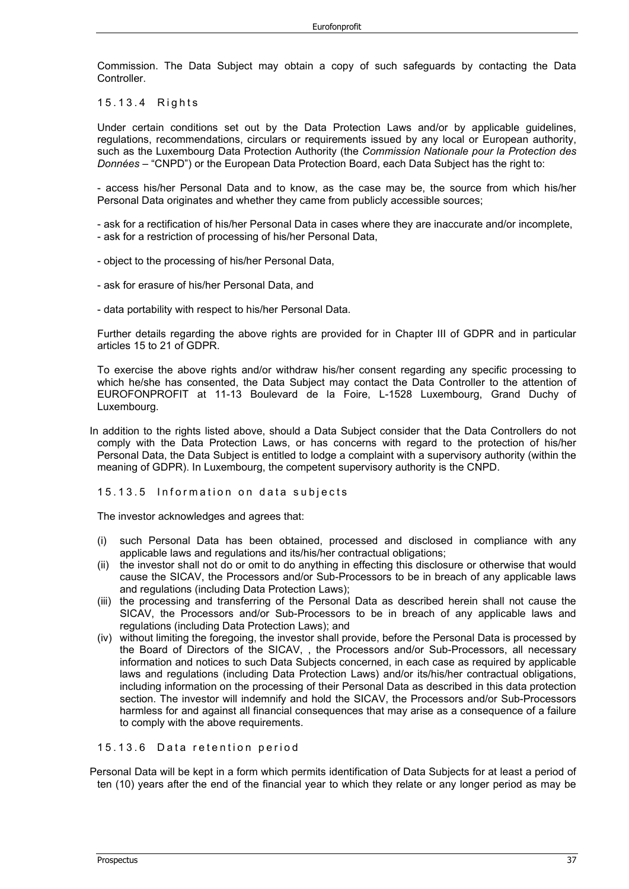Commission. The Data Subject may obtain a copy of such safeguards by contacting the Data **Controller** 

15.13.4 Rights

Under certain conditions set out by the Data Protection Laws and/or by applicable guidelines, regulations, recommendations, circulars or requirements issued by any local or European authority, such as the Luxembourg Data Protection Authority (the *Commission Nationale pour la Protection des Données* – "CNPD") or the European Data Protection Board, each Data Subject has the right to:

- access his/her Personal Data and to know, as the case may be, the source from which his/her Personal Data originates and whether they came from publicly accessible sources;

- ask for a rectification of his/her Personal Data in cases where they are inaccurate and/or incomplete, - ask for a restriction of processing of his/her Personal Data,

- object to the processing of his/her Personal Data,
- ask for erasure of his/her Personal Data, and
- data portability with respect to his/her Personal Data.

Further details regarding the above rights are provided for in Chapter III of GDPR and in particular articles 15 to 21 of GDPR.

To exercise the above rights and/or withdraw his/her consent regarding any specific processing to which he/she has consented, the Data Subject may contact the Data Controller to the attention of EUROFONPROFIT at 11-13 Boulevard de la Foire, L-1528 Luxembourg, Grand Duchy of Luxembourg.

In addition to the rights listed above, should a Data Subject consider that the Data Controllers do not comply with the Data Protection Laws, or has concerns with regard to the protection of his/her Personal Data, the Data Subject is entitled to lodge a complaint with a supervisory authority (within the meaning of GDPR). In Luxembourg, the competent supervisory authority is the CNPD.

15.13.5 Information on data subjects

The investor acknowledges and agrees that:

- (i) such Personal Data has been obtained, processed and disclosed in compliance with any applicable laws and regulations and its/his/her contractual obligations;
- (ii) the investor shall not do or omit to do anything in effecting this disclosure or otherwise that would cause the SICAV, the Processors and/or Sub-Processors to be in breach of any applicable laws and regulations (including Data Protection Laws);
- (iii) the processing and transferring of the Personal Data as described herein shall not cause the SICAV, the Processors and/or Sub-Processors to be in breach of any applicable laws and regulations (including Data Protection Laws); and
- (iv) without limiting the foregoing, the investor shall provide, before the Personal Data is processed by the Board of Directors of the SICAV, , the Processors and/or Sub-Processors, all necessary information and notices to such Data Subjects concerned, in each case as required by applicable laws and regulations (including Data Protection Laws) and/or its/his/her contractual obligations, including information on the processing of their Personal Data as described in this data protection section. The investor will indemnify and hold the SICAV, the Processors and/or Sub-Processors harmless for and against all financial consequences that may arise as a consequence of a failure to comply with the above requirements.

#### 15.13.6 Data retention period

Personal Data will be kept in a form which permits identification of Data Subjects for at least a period of ten (10) years after the end of the financial year to which they relate or any longer period as may be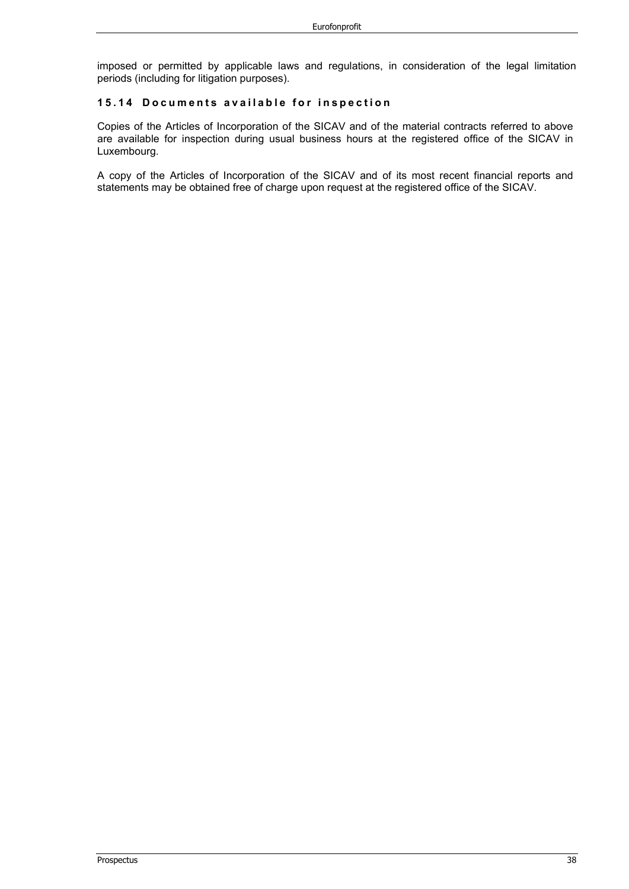imposed or permitted by applicable laws and regulations, in consideration of the legal limitation periods (including for litigation purposes).

#### **15.14 Documents available for inspection**

Copies of the Articles of Incorporation of the SICAV and of the material contracts referred to above are available for inspection during usual business hours at the registered office of the SICAV in Luxembourg.

A copy of the Articles of Incorporation of the SICAV and of its most recent financial reports and statements may be obtained free of charge upon request at the registered office of the SICAV.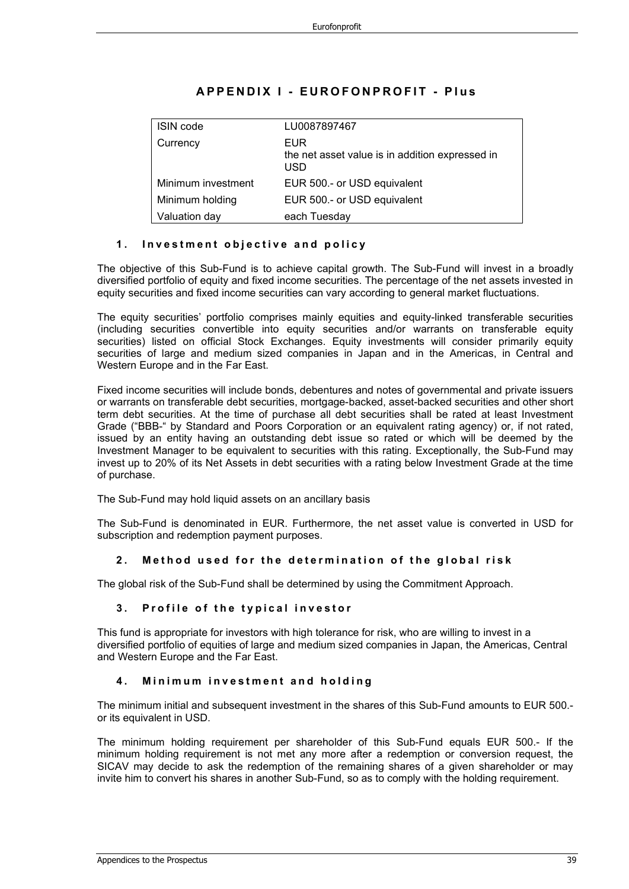| <b>ISIN</b> code   | LU0087897467                                                  |
|--------------------|---------------------------------------------------------------|
| Currency           | EUR<br>the net asset value is in addition expressed in<br>USD |
| Minimum investment | EUR 500 .- or USD equivalent                                  |
| Minimum holding    | EUR 500 .- or USD equivalent                                  |
| Valuation day      | each Tuesday                                                  |

## **APPENDIX I - EUROFONPROFIT - Plus**

#### **1 . Investment objective and policy**

The objective of this Sub-Fund is to achieve capital growth. The Sub-Fund will invest in a broadly diversified portfolio of equity and fixed income securities. The percentage of the net assets invested in equity securities and fixed income securities can vary according to general market fluctuations.

The equity securities' portfolio comprises mainly equities and equity-linked transferable securities (including securities convertible into equity securities and/or warrants on transferable equity securities) listed on official Stock Exchanges. Equity investments will consider primarily equity securities of large and medium sized companies in Japan and in the Americas, in Central and Western Europe and in the Far East.

Fixed income securities will include bonds, debentures and notes of governmental and private issuers or warrants on transferable debt securities, mortgage-backed, asset-backed securities and other short term debt securities. At the time of purchase all debt securities shall be rated at least Investment Grade ("BBB-" by Standard and Poors Corporation or an equivalent rating agency) or, if not rated, issued by an entity having an outstanding debt issue so rated or which will be deemed by the Investment Manager to be equivalent to securities with this rating. Exceptionally, the Sub-Fund may invest up to 20% of its Net Assets in debt securities with a rating below Investment Grade at the time of purchase.

The Sub-Fund may hold liquid assets on an ancillary basis

The Sub-Fund is denominated in EUR. Furthermore, the net asset value is converted in USD for subscription and redemption payment purposes.

#### **2 . Method used for the determination of the global risk**

The global risk of the Sub-Fund shall be determined by using the Commitment Approach.

#### **3 . Profile of the typical investor**

This fund is appropriate for investors with high tolerance for risk, who are willing to invest in a diversified portfolio of equities of large and medium sized companies in Japan, the Americas, Central and Western Europe and the Far East.

#### **4 . Minimum investment and h o lding**

The minimum initial and subsequent investment in the shares of this Sub-Fund amounts to EUR 500. or its equivalent in USD.

The minimum holding requirement per shareholder of this Sub-Fund equals EUR 500.- If the minimum holding requirement is not met any more after a redemption or conversion request, the SICAV may decide to ask the redemption of the remaining shares of a given shareholder or may invite him to convert his shares in another Sub-Fund, so as to comply with the holding requirement.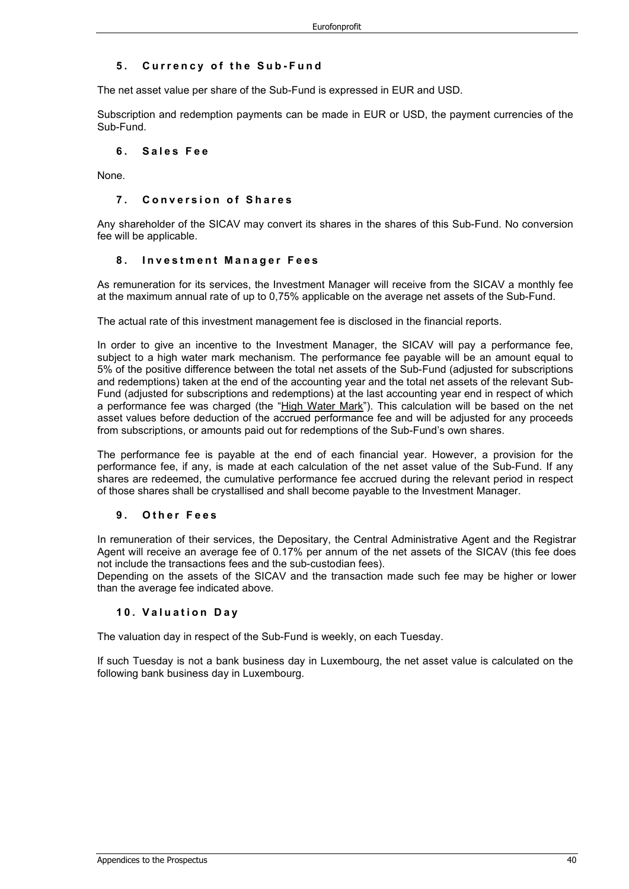#### **5 . C urrency of the Sub - Fund**

The net asset value per share of the Sub-Fund is expressed in EUR and USD.

Subscription and redemption payments can be made in EUR or USD, the payment currencies of the Sub-Fund.

#### **6 . Sales Fee**

None.

#### **7 . Conversion of Shares**

Any shareholder of the SICAV may convert its shares in the shares of this Sub-Fund. No conversion fee will be applicable.

#### **8 . Investment Manager Fees**

As remuneration for its services, the Investment Manager will receive from the SICAV a monthly fee at the maximum annual rate of up to 0,75% applicable on the average net assets of the Sub-Fund.

The actual rate of this investment management fee is disclosed in the financial reports.

In order to give an incentive to the Investment Manager, the SICAV will pay a performance fee, subject to a high water mark mechanism. The performance fee payable will be an amount equal to 5% of the positive difference between the total net assets of the Sub-Fund (adjusted for subscriptions and redemptions) taken at the end of the accounting year and the total net assets of the relevant Sub-Fund (adjusted for subscriptions and redemptions) at the last accounting year end in respect of which a performance fee was charged (the "High Water Mark"). This calculation will be based on the net asset values before deduction of the accrued performance fee and will be adjusted for any proceeds from subscriptions, or amounts paid out for redemptions of the Sub-Fund's own shares.

The performance fee is payable at the end of each financial year. However, a provision for the performance fee, if any, is made at each calculation of the net asset value of the Sub-Fund. If any shares are redeemed, the cumulative performance fee accrued during the relevant period in respect of those shares shall be crystallised and shall become payable to the Investment Manager.

#### **9 . Other Fees**

In remuneration of their services, the Depositary, the Central Administrative Agent and the Registrar Agent will receive an average fee of 0.17% per annum of the net assets of the SICAV (this fee does not include the transactions fees and the sub-custodian fees).

Depending on the assets of the SICAV and the transaction made such fee may be higher or lower than the average fee indicated above.

#### **10. Valuation Day**

The valuation day in respect of the Sub-Fund is weekly, on each Tuesday.

If such Tuesday is not a bank business day in Luxembourg, the net asset value is calculated on the following bank business day in Luxembourg.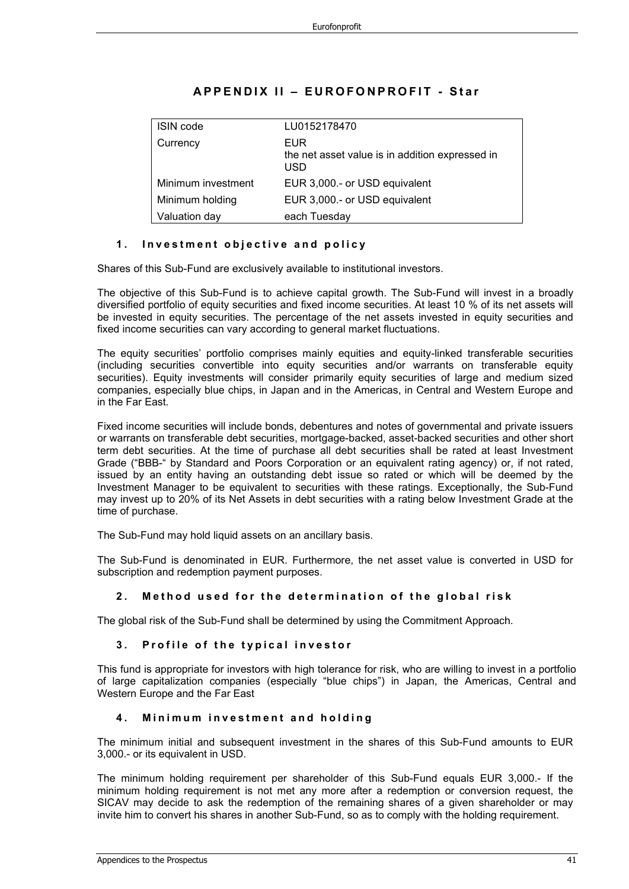| <b>ISIN</b> code   | LU0152178470                                                         |
|--------------------|----------------------------------------------------------------------|
| Currency           | <b>EUR</b><br>the net asset value is in addition expressed in<br>USD |
| Minimum investment | EUR 3,000 .- or USD equivalent                                       |
| Minimum holding    | EUR 3,000 .- or USD equivalent                                       |
| Valuation day      | each Tuesday                                                         |

## **APPENDIX II – EUROFONPROFIT - Star**

#### **1 . Investment objective and policy**

Shares of this Sub-Fund are exclusively available to institutional investors.

The objective of this Sub-Fund is to achieve capital growth. The Sub-Fund will invest in a broadly diversified portfolio of equity securities and fixed income securities. At least 10 % of its net assets will be invested in equity securities. The percentage of the net assets invested in equity securities and fixed income securities can vary according to general market fluctuations.

The equity securities' portfolio comprises mainly equities and equity-linked transferable securities (including securities convertible into equity securities and/or warrants on transferable equity securities). Equity investments will consider primarily equity securities of large and medium sized companies, especially blue chips, in Japan and in the Americas, in Central and Western Europe and in the Far East.

Fixed income securities will include bonds, debentures and notes of governmental and private issuers or warrants on transferable debt securities, mortgage-backed, asset-backed securities and other short term debt securities. At the time of purchase all debt securities shall be rated at least Investment Grade ("BBB-" by Standard and Poors Corporation or an equivalent rating agency) or, if not rated, issued by an entity having an outstanding debt issue so rated or which will be deemed by the Investment Manager to be equivalent to securities with these ratings. Exceptionally, the Sub-Fund may invest up to 20% of its Net Assets in debt securities with a rating below Investment Grade at the time of purchase.

The Sub-Fund may hold liquid assets on an ancillary basis.

The Sub-Fund is denominated in EUR. Furthermore, the net asset value is converted in USD for subscription and redemption payment purposes.

#### **2 . Method used for the determination of the global risk**

The global risk of the Sub-Fund shall be determined by using the Commitment Approach.

#### **3 . Profile of the typical investor**

This fund is appropriate for investors with high tolerance for risk, who are willing to invest in a portfolio of large capitalization companies (especially "blue chips") in Japan, the Americas, Central and Western Europe and the Far East

#### **4 . Minimum investment and holding**

The minimum initial and subsequent investment in the shares of this Sub-Fund amounts to EUR 3,000.- or its equivalent in USD.

The minimum holding requirement per shareholder of this Sub-Fund equals EUR 3,000.- If the minimum holding requirement is not met any more after a redemption or conversion request, the SICAV may decide to ask the redemption of the remaining shares of a given shareholder or may invite him to convert his shares in another Sub-Fund, so as to comply with the holding requirement.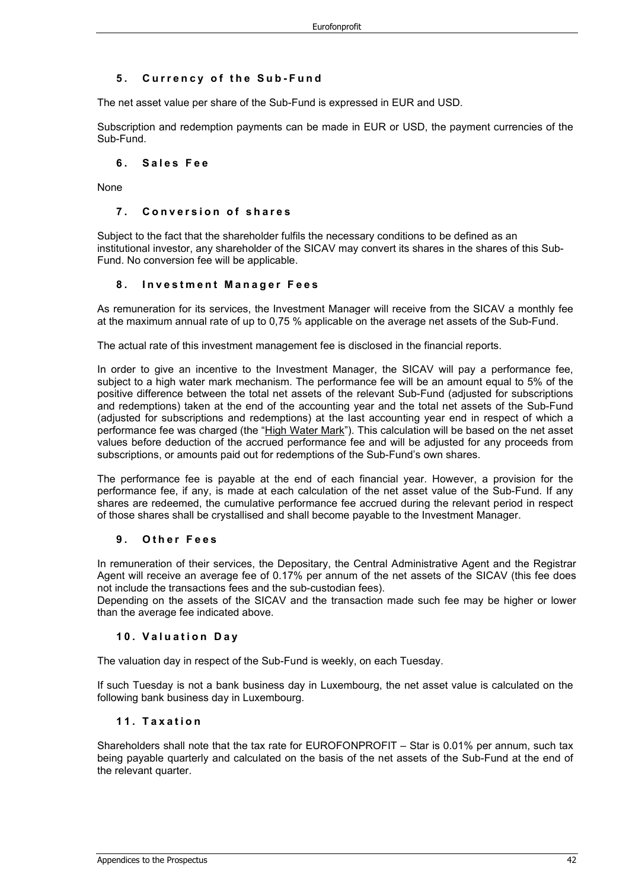#### **5 . Currency of the S u b - F und**

The net asset value per share of the Sub-Fund is expressed in EUR and USD.

Subscription and redemption payments can be made in EUR or USD, the payment currencies of the Sub-Fund.

#### **6 . Sales F e e**

None

#### **7 . Conversion of shares**

Subject to the fact that the shareholder fulfils the necessary conditions to be defined as an institutional investor, any shareholder of the SICAV may convert its shares in the shares of this Sub-Fund. No conversion fee will be applicable.

#### **8 . Investment M anager F ees**

As remuneration for its services, the Investment Manager will receive from the SICAV a monthly fee at the maximum annual rate of up to 0,75 % applicable on the average net assets of the Sub-Fund.

The actual rate of this investment management fee is disclosed in the financial reports.

In order to give an incentive to the Investment Manager, the SICAV will pay a performance fee, subject to a high water mark mechanism. The performance fee will be an amount equal to 5% of the positive difference between the total net assets of the relevant Sub-Fund (adjusted for subscriptions and redemptions) taken at the end of the accounting year and the total net assets of the Sub-Fund (adjusted for subscriptions and redemptions) at the last accounting year end in respect of which a performance fee was charged (the "High Water Mark"). This calculation will be based on the net asset values before deduction of the accrued performance fee and will be adjusted for any proceeds from subscriptions, or amounts paid out for redemptions of the Sub-Fund's own shares.

The performance fee is payable at the end of each financial year. However, a provision for the performance fee, if any, is made at each calculation of the net asset value of the Sub-Fund. If any shares are redeemed, the cumulative performance fee accrued during the relevant period in respect of those shares shall be crystallised and shall become payable to the Investment Manager.

#### **9 . Other Fees**

In remuneration of their services, the Depositary, the Central Administrative Agent and the Registrar Agent will receive an average fee of 0.17% per annum of the net assets of the SICAV (this fee does not include the transactions fees and the sub-custodian fees).

Depending on the assets of the SICAV and the transaction made such fee may be higher or lower than the average fee indicated above.

#### **10. Valuation D a y**

The valuation day in respect of the Sub-Fund is weekly, on each Tuesday.

If such Tuesday is not a bank business day in Luxembourg, the net asset value is calculated on the following bank business day in Luxembourg.

#### **11. Taxation**

Shareholders shall note that the tax rate for EUROFONPROFIT – Star is 0.01% per annum, such tax being payable quarterly and calculated on the basis of the net assets of the Sub-Fund at the end of the relevant quarter.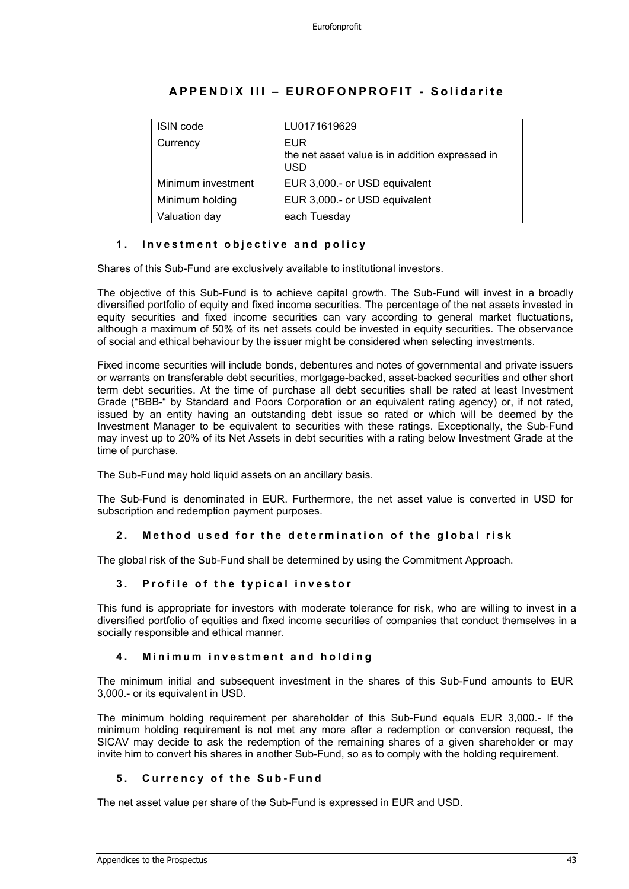| <b>ISIN</b> code   | LU0171619629                                                  |
|--------------------|---------------------------------------------------------------|
| Currency           | EUR<br>the net asset value is in addition expressed in<br>USD |
| Minimum investment | EUR 3,000 .- or USD equivalent                                |
| Minimum holding    | EUR 3,000 .- or USD equivalent                                |
| Valuation day      | each Tuesday                                                  |

## **APPENDIX III – EUROFONPROFIT - Solidarite**

#### **1 . Investment objective and policy**

Shares of this Sub-Fund are exclusively available to institutional investors.

The objective of this Sub-Fund is to achieve capital growth. The Sub-Fund will invest in a broadly diversified portfolio of equity and fixed income securities. The percentage of the net assets invested in equity securities and fixed income securities can vary according to general market fluctuations, although a maximum of 50% of its net assets could be invested in equity securities. The observance of social and ethical behaviour by the issuer might be considered when selecting investments.

Fixed income securities will include bonds, debentures and notes of governmental and private issuers or warrants on transferable debt securities, mortgage-backed, asset-backed securities and other short term debt securities. At the time of purchase all debt securities shall be rated at least Investment Grade ("BBB-" by Standard and Poors Corporation or an equivalent rating agency) or, if not rated, issued by an entity having an outstanding debt issue so rated or which will be deemed by the Investment Manager to be equivalent to securities with these ratings. Exceptionally, the Sub-Fund may invest up to 20% of its Net Assets in debt securities with a rating below Investment Grade at the time of purchase.

The Sub-Fund may hold liquid assets on an ancillary basis.

The Sub-Fund is denominated in EUR. Furthermore, the net asset value is converted in USD for subscription and redemption payment purposes.

#### **2 . Method used for the determination of the global risk**

The global risk of the Sub-Fund shall be determined by using the Commitment Approach.

#### **3 . Profile of the typical investor**

This fund is appropriate for investors with moderate tolerance for risk, who are willing to invest in a diversified portfolio of equities and fixed income securities of companies that conduct themselves in a socially responsible and ethical manner.

#### **4 . Minimum investment and holding**

The minimum initial and subsequent investment in the shares of this Sub-Fund amounts to EUR 3,000.- or its equivalent in USD.

The minimum holding requirement per shareholder of this Sub-Fund equals EUR 3,000.- If the minimum holding requirement is not met any more after a redemption or conversion request, the SICAV may decide to ask the redemption of the remaining shares of a given shareholder or may invite him to convert his shares in another Sub-Fund, so as to comply with the holding requirement.

#### **5 . Currency of the S u b - F und**

The net asset value per share of the Sub-Fund is expressed in EUR and USD.